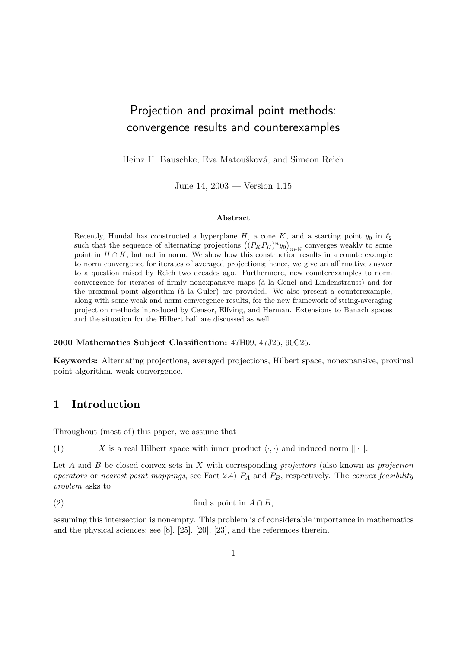# Projection and proximal point methods: convergence results and counterexamples

Heinz H. Bauschke, Eva Matoušková, and Simeon Reich

June 14, 2003 — Version 1.15

#### Abstract

Recently, Hundal has constructed a hyperplane  $H$ , a cone  $K$ , and a starting point  $y_0$  in  $\ell_2$ Recently, Hundal has constructed a hyperplane  $H$ , a cone  $\Lambda$ , and a starting point  $y_0$  in  $\ell_2$  such that the sequence of alternating projections  $((P_K P_H)^n y_0)_{n \in \mathbb{N}}$  converges weakly to some point in  $H \cap K$ , but not in norm. We show how this construction results in a counterexample to norm convergence for iterates of averaged projections; hence, we give an affirmative answer to a question raised by Reich two decades ago. Furthermore, new counterexamples to norm convergence for iterates of firmly nonexpansive maps (`a la Genel and Lindenstrauss) and for the proximal point algorithm ( $\hat{a}$  la Güler) are provided. We also present a counterexample, along with some weak and norm convergence results, for the new framework of string-averaging projection methods introduced by Censor, Elfving, and Herman. Extensions to Banach spaces and the situation for the Hilbert ball are discussed as well.

#### 2000 Mathematics Subject Classification: 47H09, 47J25, 90C25.

Keywords: Alternating projections, averaged projections, Hilbert space, nonexpansive, proximal point algorithm, weak convergence.

# 1 Introduction

Throughout (most of) this paper, we assume that

(1) X is a real Hilbert space with inner product  $\langle \cdot, \cdot \rangle$  and induced norm  $\|\cdot\|$ .

Let  $A$  and  $B$  be closed convex sets in  $X$  with corresponding projectors (also known as projection operators or nearest point mappings, see Fact 2.4)  $P_A$  and  $P_B$ , respectively. The convex feasibility problem asks to

(2) find a point in  $A \cap B$ ,

assuming this intersection is nonempty. This problem is of considerable importance in mathematics and the physical sciences; see [8], [25], [20], [23], and the references therein.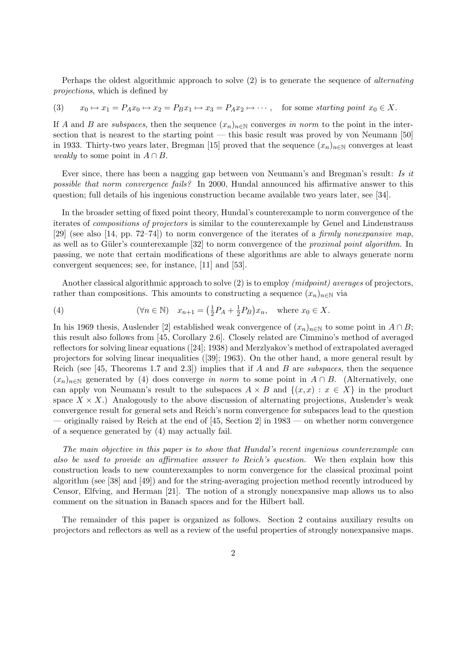Perhaps the oldest algorithmic approach to solve (2) is to generate the sequence of alternating projections, which is defined by

(3) 
$$
x_0 \mapsto x_1 = P_A x_0 \mapsto x_2 = P_B x_1 \mapsto x_3 = P_A x_2 \mapsto \cdots
$$
, for some starting point  $x_0 \in X$ .

If A and B are subspaces, then the sequence  $(x_n)_{n\in\mathbb{N}}$  converges in norm to the point in the intersection that is nearest to the starting point — this basic result was proved by von Neumann [50] in 1933. Thirty-two years later, Bregman [15] proved that the sequence  $(x_n)_{n\in\mathbb{N}}$  converges at least weakly to some point in  $A \cap B$ .

Ever since, there has been a nagging gap between von Neumann's and Bregman's result: Is it possible that norm convergence fails? In 2000, Hundal announced his affirmative answer to this question; full details of his ingenious construction became available two years later, see [34].

In the broader setting of fixed point theory, Hundal's counterexample to norm convergence of the iterates of compositions of projectors is similar to the counterexample by Genel and Lindenstrauss [29] (see also [14, pp. 72–74]) to norm convergence of the iterates of a firmly nonexpansive map, as well as to Güler's counterexample [32] to norm convergence of the *proximal point algorithm*. In passing, we note that certain modifications of these algorithms are able to always generate norm convergent sequences; see, for instance, [11] and [53].

Another classical algorithmic approach to solve (2) is to employ *(midpoint)* averages of projectors, rather than compositions. This amounts to constructing a sequence  $(x_n)_{n\in\mathbb{N}}$  via

(4) 
$$
(\forall n \in \mathbb{N}) \quad x_{n+1} = \left(\frac{1}{2}P_A + \frac{1}{2}P_B\right)x_n, \quad \text{where } x_0 \in X.
$$

In his 1969 thesis, Auslender [2] established weak convergence of  $(x_n)_{n\in\mathbb{N}}$  to some point in  $A \cap B$ ; this result also follows from [45, Corollary 2.6]. Closely related are Cimmino's method of averaged reflectors for solving linear equations ([24]; 1938) and Merzlyakov's method of extrapolated averaged projectors for solving linear inequalities ([39]; 1963). On the other hand, a more general result by Reich (see [45, Theorems 1.7 and 2.3]) implies that if A and B are subspaces, then the sequence  $(x_n)_{n\in\mathbb{N}}$  generated by (4) does converge in norm to some point in  $A \cap B$ . (Alternatively, one can apply von Neumann's result to the subspaces  $A \times B$  and  $\{(x, x) : x \in X\}$  in the product space  $X \times X$ .) Analogously to the above discussion of alternating projections, Auslender's weak convergence result for general sets and Reich's norm convergence for subspaces lead to the question — originally raised by Reich at the end of [45, Section 2] in 1983 — on whether norm convergence of a sequence generated by (4) may actually fail.

The main objective in this paper is to show that Hundal's recent ingenious counterexample can also be used to provide an affirmative answer to Reich's question. We then explain how this construction leads to new counterexamples to norm convergence for the classical proximal point algorithm (see [38] and [49]) and for the string-averaging projection method recently introduced by Censor, Elfving, and Herman [21]. The notion of a strongly nonexpansive map allows us to also comment on the situation in Banach spaces and for the Hilbert ball.

The remainder of this paper is organized as follows. Section 2 contains auxiliary results on projectors and reflectors as well as a review of the useful properties of strongly nonexpansive maps.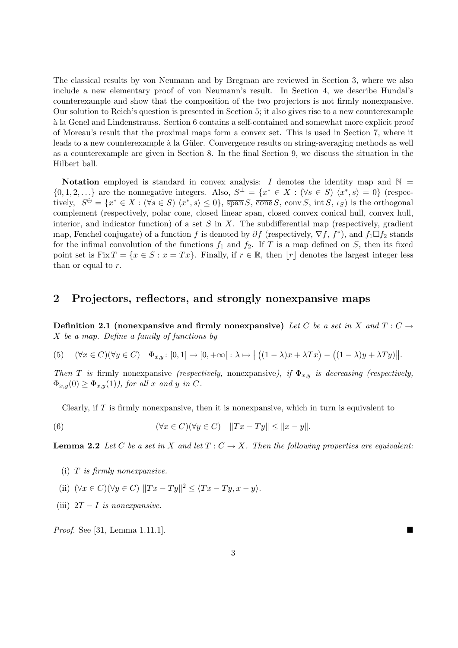The classical results by von Neumann and by Bregman are reviewed in Section 3, where we also include a new elementary proof of von Neumann's result. In Section 4, we describe Hundal's counterexample and show that the composition of the two projectors is not firmly nonexpansive. Our solution to Reich's question is presented in Section 5; it also gives rise to a new counterexample `a la Genel and Lindenstrauss. Section 6 contains a self-contained and somewhat more explicit proof of Moreau's result that the proximal maps form a convex set. This is used in Section 7, where it leads to a new counterexample à la Güler. Convergence results on string-averaging methods as well as a counterexample are given in Section 8. In the final Section 9, we discuss the situation in the Hilbert ball.

Notation employed is standard in convex analysis: I denotes the identity map and  $\mathbb{N} =$  $\{0, 1, 2, \ldots\}$  are the nonnegative integers. Also,  $S^{\perp} = \{x^* \in X : (\forall s \in S) \langle x^*, s \rangle = 0\}$  (respectively,  $S^{\ominus} = \{x^* \in X : (\forall s \in S) \langle x^*, s \rangle \leq 0\}$ ,  $\overline{\text{span}} S$ ,  $\overline{\text{cone}} S$ ,  $\text{conv } S$ ,  $\text{int } S$ ,  $\iota_S$ ) is the orthogonal complement (respectively, polar cone, closed linear span, closed convex conical hull, convex hull, interior, and indicator function) of a set  $S$  in  $X$ . The subdifferential map (respectively, gradient map, Fenchel conjugate) of a function f is denoted by  $\partial f$  (respectively,  $\nabla f$ ,  $f^*$ ), and  $f_1 \Box f_2$  stands for the infimal convolution of the functions  $f_1$  and  $f_2$ . If T is a map defined on S, then its fixed point set is Fix  $T = \{x \in S : x = Tx\}$ . Finally, if  $r \in \mathbb{R}$ , then  $|r|$  denotes the largest integer less than or equal to  $r$ .

# 2 Projectors, reflectors, and strongly nonexpansive maps

Definition 2.1 (nonexpansive and firmly nonexpansive) Let C be a set in X and  $T: C \rightarrow$ X be a map. Define a family of functions by

(5) 
$$
(\forall x \in C)(\forall y \in C) \quad \Phi_{x,y}: [0,1] \to [0,+\infty[ : \lambda \mapsto ||((1-\lambda)x+\lambda Tx) - ((1-\lambda)y+\lambda Ty)||
$$
.

Then T is firmly nonexpansive (respectively, nonexpansive), if  $\Phi_{x,y}$  is decreasing (respectively,  $\Phi_{x,y}(0) \geq \Phi_{x,y}(1)$ , for all x and y in C.

Clearly, if  $T$  is firmly nonexpansive, then it is nonexpansive, which in turn is equivalent to

(6) 
$$
(\forall x \in C)(\forall y \in C) \quad ||Tx - Ty|| \le ||x - y||.
$$

**Lemma 2.2** Let C be a set in X and let  $T: C \to X$ . Then the following properties are equivalent:

- $(i)$  T is firmly nonexpansive.
- (ii)  $(\forall x \in C)(\forall y \in C) ||Tx Ty||^2 \leq \langle Tx Ty, x y \rangle.$
- (iii)  $2T I$  is nonexpansive.

*Proof.* See [31, Lemma 1.11.1].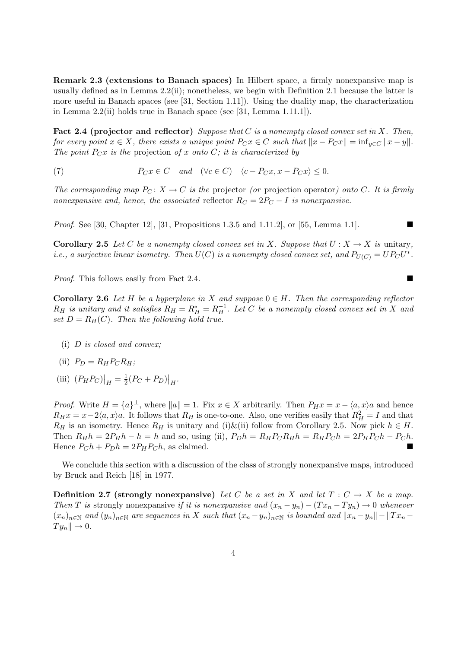Remark 2.3 (extensions to Banach spaces) In Hilbert space, a firmly nonexpansive map is usually defined as in Lemma 2.2(ii); nonetheless, we begin with Definition 2.1 because the latter is more useful in Banach spaces (see [31, Section 1.11]). Using the duality map, the characterization in Lemma 2.2(ii) holds true in Banach space (see [31, Lemma 1.11.1]).

Fact 2.4 (projector and reflector) Suppose that C is a nonempty closed convex set in X. Then, for every point  $x \in X$ , there exists a unique point  $P_C x \in C$  such that  $||x - P_C x|| = \inf_{y \in C} ||x - y||$ . The point  $P_Cx$  is the projection of x onto C; it is characterized by

(7)  $P_Cx \in C$  and  $(\forall c \in C)$   $\langle c - P_Cx, x - P_Cx \rangle \leq 0.$ 

The corresponding map  $P_C: X \to C$  is the projector (or projection operator) onto C. It is firmly nonexpansive and, hence, the associated reflector  $R_C = 2P_C - I$  is nonexpansive.

*Proof.* See [30, Chapter 12], [31, Propositions 1.3.5 and 1.11.2], or [55, Lemma 1.1].

**Corollary 2.5** Let C be a nonempty closed convex set in X. Suppose that  $U : X \to X$  is unitary, *i.e.*, a surjective linear isometry. Then  $U(C)$  is a nonempty closed convex set, and  $P_{U(C)} = UP_C U^*$ .

*Proof.* This follows easily from Fact 2.4.  $\blacksquare$ 

**Corollary 2.6** Let H be a hyperplane in X and suppose  $0 \in H$ . Then the corresponding reflector  $R_H$  is unitary and it satisfies  $R_H = R_H^* = R_H^{-1}$ . Let C be a nonempty closed convex set in X and set  $D = R_H(C)$ . Then the following hold true.

(i) D is closed and convex;

$$
(ii) \ \ P_D = R_H P_C R_H;
$$

(iii)  $(P_H P_C)$  $\Big|_H = \frac{1}{2}$  $\frac{1}{2}(P_C + P_D)$  $\big|_H.$ 

*Proof.* Write  $H = \{a\}^{\perp}$ , where  $||a|| = 1$ . Fix  $x \in X$  arbitrarily. Then  $P_H x = x - \langle a, x \rangle a$  and hence  $R_H x = x - 2\langle a, x \rangle a$ . It follows that  $R_H$  is one-to-one. Also, one verifies easily that  $R_H^2 = I$  and that  $R_H$  is an isometry. Hence  $R_H$  is unitary and (i)&(ii) follow from Corollary 2.5. Now pick  $h \in H$ . Then  $R_H h = 2P_H h - h = h$  and so, using (ii),  $P_D h = R_H P_C R_H h = R_H P_C h = 2P_H P_C h - P_C h$ . Hence  $P_{C}h + P_{D}h = 2P_{H}P_{C}h$ , as claimed.

We conclude this section with a discussion of the class of strongly nonexpansive maps, introduced by Bruck and Reich [18] in 1977.

**Definition 2.7 (strongly nonexpansive)** Let C be a set in X and let  $T: C \to X$  be a map. Then T is strongly nonexpansive if it is nonexpansive and  $(x_n - y_n) - (Tx_n - Ty_n) \rightarrow 0$  whenever  $(x_n)_{n\in\mathbb{N}}$  and  $(y_n)_{n\in\mathbb{N}}$  are sequences in X such that  $(x_n-y_n)_{n\in\mathbb{N}}$  is bounded and  $||x_n-y_n||-||Tx_n Ty_n \parallel \rightarrow 0.$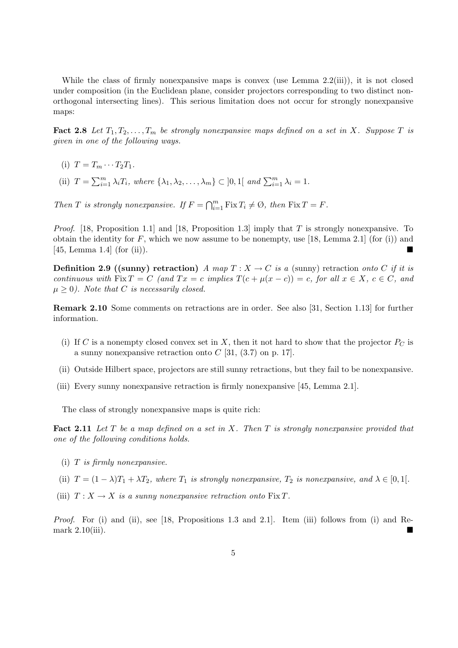While the class of firmly nonexpansive maps is convex (use Lemma 2.2(iii)), it is not closed under composition (in the Euclidean plane, consider projectors corresponding to two distinct nonorthogonal intersecting lines). This serious limitation does not occur for strongly nonexpansive maps:

**Fact 2.8** Let  $T_1, T_2, \ldots, T_m$  be strongly nonexpansive maps defined on a set in X. Suppose T is given in one of the following ways.

- (i)  $T = T_m \cdots T_2 T_1$ .
- (ii)  $T = \sum_{i=1}^{m} \lambda_i T_i$ , where  $\{\lambda_1, \lambda_2, \dots, \lambda_m\} \subset ]0,1[$  and  $\sum_{i=1}^{m} \lambda_i = 1$ .

Then T is strongly nonexpansive. If  $F = \bigcap_{i=1}^m$  $_{i=1}^{m}$  Fix  $T_i \neq \emptyset$ , then Fix  $T = F$ .

*Proof.* [18, Proposition 1.1] and [18, Proposition 1.3] imply that T is strongly nonexpansive. To obtain the identity for  $F$ , which we now assume to be nonempty, use [18, Lemma 2.1] (for (i)) and  $[45, Lemma 1.4]$  (for (ii)).

**Definition 2.9 ((sunny) retraction)** A map  $T : X \to C$  is a (sunny) retraction onto C if it is continuous with Fix  $T = C$  (and  $Tx = c$  implies  $T(c + \mu(x - c)) = c$ , for all  $x \in X$ ,  $c \in C$ , and  $\mu \geq 0$ ). Note that C is necessarily closed.

Remark 2.10 Some comments on retractions are in order. See also [31, Section 1.13] for further information.

- (i) If C is a nonempty closed convex set in X, then it not hard to show that the projector  $P<sub>C</sub>$  is a sunny nonexpansive retraction onto  $C$  [31, (3.7) on p. 17].
- (ii) Outside Hilbert space, projectors are still sunny retractions, but they fail to be nonexpansive.
- (iii) Every sunny nonexpansive retraction is firmly nonexpansive [45, Lemma 2.1].

The class of strongly nonexpansive maps is quite rich:

**Fact 2.11** Let T be a map defined on a set in X. Then T is strongly nonexpansive provided that one of the following conditions holds.

- $(i)$  T is firmly nonexpansive.
- (ii)  $T = (1 \lambda)T_1 + \lambda T_2$ , where  $T_1$  is strongly nonexpansive,  $T_2$  is nonexpansive, and  $\lambda \in [0, 1]$ .
- (iii)  $T: X \to X$  is a sunny nonexpansive retraction onto  $\text{Fix } T$ .

Proof. For (i) and (ii), see [18, Propositions 1.3 and 2.1]. Item (iii) follows from (i) and Remark  $2.10(iii)$ .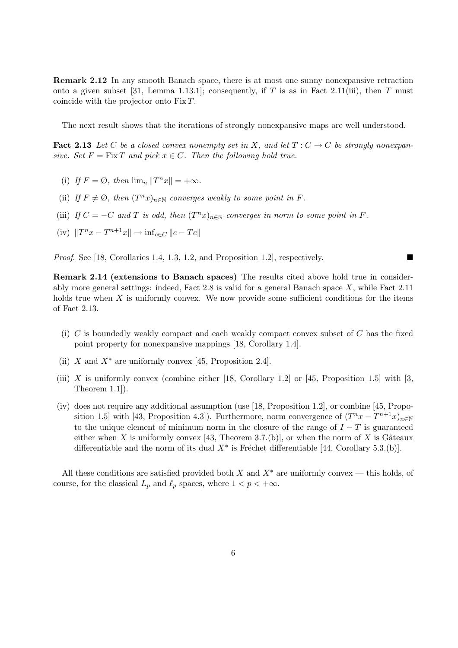Remark 2.12 In any smooth Banach space, there is at most one sunny nonexpansive retraction onto a given subset [31, Lemma 1.13.1]; consequently, if T is as in Fact 2.11(iii), then T must coincide with the projector onto Fix T.

The next result shows that the iterations of strongly nonexpansive maps are well understood.

**Fact 2.13** Let C be a closed convex nonempty set in X, and let  $T: C \to C$  be strongly nonexpansive. Set  $F = Fix T$  and pick  $x \in C$ . Then the following hold true.

- (i) If  $F = \emptyset$ , then  $\lim_{n} ||T^n x|| = +\infty$ .
- (ii) If  $F \neq \emptyset$ , then  $(T^n x)_{n \in \mathbb{N}}$  converges weakly to some point in F.
- (iii) If  $C = -C$  and T is odd, then  $(T^n x)_{n \in \mathbb{N}}$  converges in norm to some point in F.

(iv) 
$$
||T^n x - T^{n+1} x|| \to \inf_{c \in C} ||c - Tc||
$$

*Proof.* See [18, Corollaries 1.4, 1.3, 1.2, and Proposition 1.2], respectively.

Remark 2.14 (extensions to Banach spaces) The results cited above hold true in considerably more general settings: indeed, Fact 2.8 is valid for a general Banach space  $X$ , while Fact 2.11 holds true when  $X$  is uniformly convex. We now provide some sufficient conditions for the items of Fact 2.13.

- (i)  $C$  is boundedly weakly compact and each weakly compact convex subset of  $C$  has the fixed point property for nonexpansive mappings [18, Corollary 1.4].
- (ii) X and  $X^*$  are uniformly convex [45, Proposition 2.4].
- (iii) X is uniformly convex (combine either  $[18, Corollary 1.2]$  or  $[45, Proposition 1.5]$  with  $[3,$ Theorem 1.1]).
- (iv) does not require any additional assumption (use [18, Proposition 1.2], or combine [45, Proposition 1.5] with [43, Proposition 4.3]). Furthermore, norm convergence of  $(T^n x - T^{n+1} x)_{n \in \mathbb{N}}$ to the unique element of minimum norm in the closure of the range of  $I - T$  is guaranteed either when X is uniformly convex [43, Theorem 3.7.(b)], or when the norm of X is Gâteaux differentiable and the norm of its dual  $X^*$  is Fréchet differentiable [44, Corollary 5.3.(b)].

All these conditions are satisfied provided both X and  $X^*$  are uniformly convex — this holds, of course, for the classical  $L_p$  and  $\ell_p$  spaces, where  $1 < p < +\infty$ .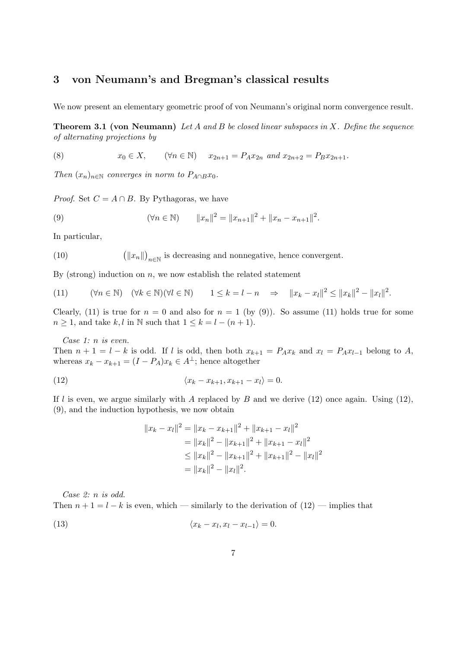#### 3 von Neumann's and Bregman's classical results

We now present an elementary geometric proof of von Neumann's original norm convergence result.

**Theorem 3.1 (von Neumann)** Let A and B be closed linear subspaces in X. Define the sequence of alternating projections by

(8) 
$$
x_0 \in X
$$
,  $(\forall n \in \mathbb{N})$   $x_{2n+1} = P_A x_{2n}$  and  $x_{2n+2} = P_B x_{2n+1}$ .

Then  $(x_n)_{n\in\mathbb{N}}$  converges in norm to  $P_{A\cap B}x_0$ .

*Proof.* Set  $C = A \cap B$ . By Pythagoras, we have

(9) 
$$
(\forall n \in \mathbb{N}) \qquad ||x_n||^2 = ||x_{n+1}||^2 + ||x_n - x_{n+1}||^2.
$$

In particular,

 $(10)$  $\Vert x_n \Vert$ ¢  $_{n\in\mathbb{N}}$  is decreasing and nonnegative, hence convergent.

By (strong) induction on  $n$ , we now establish the related statement

(11) 
$$
(\forall n \in \mathbb{N}) \quad (\forall k \in \mathbb{N})(\forall l \in \mathbb{N}) \quad 1 \leq k = l - n \Rightarrow \|x_k - x_l\|^2 \leq \|x_k\|^2 - \|x_l\|^2.
$$

Clearly, (11) is true for  $n = 0$  and also for  $n = 1$  (by (9)). So assume (11) holds true for some  $n \geq 1$ , and take k, l in N such that  $1 \leq k = l - (n + 1)$ .

Case 1: n is even.

Then  $n + 1 = l - k$  is odd. If l is odd, then both  $x_{k+1} = P_A x_k$  and  $x_l = P_A x_{l-1}$  belong to A, whereas  $x_k - x_{k+1} = (I - P_A)x_k \in A^{\perp}$ ; hence altogether

$$
(12) \qquad \qquad \langle x_k - x_{k+1}, x_{k+1} - x_l \rangle = 0.
$$

If l is even, we argue similarly with A replaced by B and we derive  $(12)$  once again. Using  $(12)$ , (9), and the induction hypothesis, we now obtain

$$
||x_k - x_l||^2 = ||x_k - x_{k+1}||^2 + ||x_{k+1} - x_l||^2
$$
  
=  $||x_k||^2 - ||x_{k+1}||^2 + ||x_{k+1} - x_l||^2$   
 $\le ||x_k||^2 - ||x_{k+1}||^2 + ||x_{k+1}||^2 - ||x_l||^2$   
=  $||x_k||^2 - ||x_l||^2$ .

Case 2: n is odd.

Then  $n+1 = l - k$  is even, which — similarly to the derivation of  $(12)$  — implies that

$$
(13) \qquad \qquad \langle x_k - x_l, x_l - x_{l-1} \rangle = 0.
$$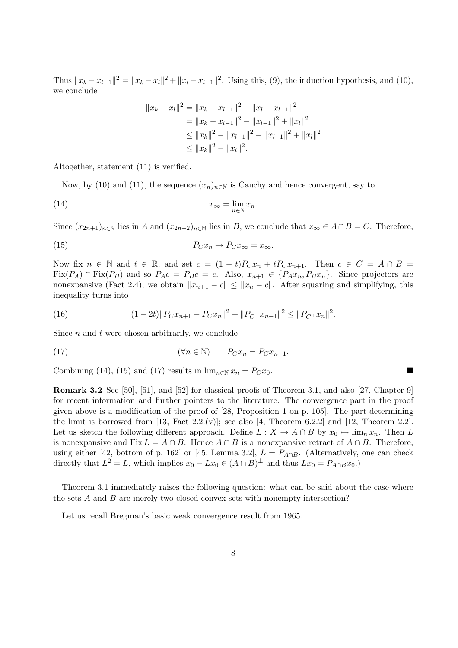Thus  $||x_k - x_{l-1}||^2 = ||x_k - x_l||^2 + ||x_l - x_{l-1}||^2$ . Using this, (9), the induction hypothesis, and (10), we conclude

$$
||x_k - x_l||^2 = ||x_k - x_{l-1}||^2 - ||x_l - x_{l-1}||^2
$$
  
=  $||x_k - x_{l-1}||^2 - ||x_{l-1}||^2 + ||x_l||^2$   
 $\le ||x_k||^2 - ||x_{l-1}||^2 - ||x_{l-1}||^2 + ||x_l||^2$   
 $\le ||x_k||^2 - ||x_l||^2.$ 

Altogether, statement (11) is verified.

Now, by (10) and (11), the sequence  $(x_n)_{n\in\mathbb{N}}$  is Cauchy and hence convergent, say to

(14) 
$$
x_{\infty} = \lim_{n \in \mathbb{N}} x_n.
$$

Since  $(x_{2n+1})_{n\in\mathbb{N}}$  lies in A and  $(x_{2n+2})_{n\in\mathbb{N}}$  lies in B, we conclude that  $x_{\infty} \in A \cap B = C$ . Therefore,

(15) 
$$
P_C x_n \to P_C x_\infty = x_\infty.
$$

Now fix  $n \in \mathbb{N}$  and  $t \in \mathbb{R}$ , and set  $c = (1-t)P_Cx_n + tP_Cx_{n+1}$ . Then  $c \in C = A \cap B =$  $Fix(P_A) \cap Fix(P_B)$  and so  $P_Ac = P_Bc = c$ . Also,  $x_{n+1} \in \{P_Ax_n, P_Bx_n\}$ . Since projectors are nonexpansive (Fact 2.4), we obtain  $||x_{n+1} - c|| \le ||x_n - c||$ . After squaring and simplifying, this inequality turns into

(16) 
$$
(1-2t) \|P_C x_{n+1} - P_C x_n\|^2 + \|P_{C^{\perp}} x_{n+1}\|^2 \le \|P_{C^{\perp}} x_n\|^2.
$$

Since  $n$  and  $t$  were chosen arbitrarily, we conclude

(17) 
$$
(\forall n \in \mathbb{N}) \qquad P_C x_n = P_C x_{n+1}.
$$

Combining (14), (15) and (17) results in  $\lim_{n \in \mathbb{N}} x_n = P_C x_0$ .

Remark 3.2 See [50], [51], and [52] for classical proofs of Theorem 3.1, and also [27, Chapter 9] for recent information and further pointers to the literature. The convergence part in the proof given above is a modification of the proof of [28, Proposition 1 on p. 105]. The part determining the limit is borrowed from  $[13,$  Fact  $2.2(v)$ ; see also  $[4,$  Theorem 6.2.2] and  $[12,$  Theorem 2.2]. Let us sketch the following different approach. Define  $L : X \to A \cap B$  by  $x_0 \mapsto \lim_n x_n$ . Then L is nonexpansive and Fix  $L = A \cap B$ . Hence  $A \cap B$  is a nonexpansive retract of  $A \cap B$ . Therefore, using either [42, bottom of p. 162] or [45, Lemma 3.2],  $L = P_{A \cap B}$ . (Alternatively, one can check directly that  $L^2 = L$ , which implies  $x_0 - Lx_0 \in (A \cap B)^{\perp}$  and thus  $Lx_0 = P_{A \cap B}x_0$ .

Theorem 3.1 immediately raises the following question: what can be said about the case where the sets A and B are merely two closed convex sets with nonempty intersection?

Let us recall Bregman's basic weak convergence result from 1965.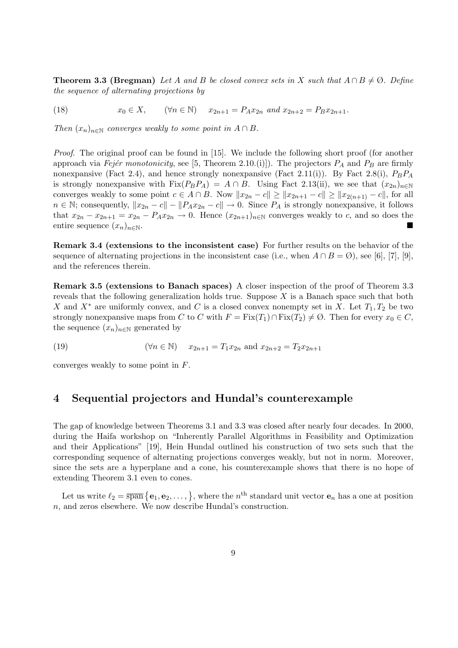**Theorem 3.3 (Bregman)** Let A and B be closed convex sets in X such that  $A \cap B \neq \emptyset$ . Define the sequence of alternating projections by

(18)  $x_0 \in X$ ,  $(\forall n \in \mathbb{N})$   $x_{2n+1} = P_A x_{2n}$  and  $x_{2n+2} = P_B x_{2n+1}$ .

Then  $(x_n)_{n\in\mathbb{N}}$  converges weakly to some point in  $A \cap B$ .

*Proof.* The original proof can be found in [15]. We include the following short proof (for another approach via Fejér monotonicity, see [5, Theorem 2.10.(i)]). The projectors  $P_A$  and  $P_B$  are firmly nonexpansive (Fact 2.4), and hence strongly nonexpansive (Fact 2.11(i)). By Fact 2.8(i),  $P_BP_A$ is strongly nonexpansive with  $Fix(P_BP_A) = A \cap B$ . Using Fact 2.13(ii), we see that  $(x_{2n})_{n \in \mathbb{N}}$ converges weakly to some point  $c \in A \cap B$ . Now  $||x_{2n} - c|| \ge ||x_{2n+1} - c|| \ge ||x_{2(n+1)} - c||$ , for all  $n \in \mathbb{N}$ ; consequently,  $||x_{2n} - c|| - ||P_Ax_{2n} - c|| \to 0$ . Since  $P_A$  is strongly nonexpansive, it follows that  $x_{2n} - x_{2n+1} = x_{2n} - P_A x_{2n} \to 0$ . Hence  $(x_{2n+1})_{n \in \mathbb{N}}$  converges weakly to c, and so does the entire sequence  $(x_n)_{n\in\mathbb{N}}$ .

Remark 3.4 (extensions to the inconsistent case) For further results on the behavior of the sequence of alternating projections in the inconsistent case (i.e., when  $A \cap B = \emptyset$ ), see [6], [7], [9], and the references therein.

Remark 3.5 (extensions to Banach spaces) A closer inspection of the proof of Theorem 3.3 reveals that the following generalization holds true. Suppose  $X$  is a Banach space such that both X and  $X^*$  are uniformly convex, and C is a closed convex nonempty set in X. Let  $T_1, T_2$  be two strongly nonexpansive maps from C to C with  $F = Fix(T_1) \cap Fix(T_2) \neq \emptyset$ . Then for every  $x_0 \in C$ , the sequence  $(x_n)_{n\in\mathbb{N}}$  generated by

(19)  $(\forall n \in \mathbb{N})$   $x_{2n+1} = T_1 x_{2n}$  and  $x_{2n+2} = T_2 x_{2n+1}$ 

converges weakly to some point in F.

## 4 Sequential projectors and Hundal's counterexample

The gap of knowledge between Theorems 3.1 and 3.3 was closed after nearly four decades. In 2000, during the Haifa workshop on "Inherently Parallel Algorithms in Feasibility and Optimization and their Applications" [19], Hein Hundal outlined his construction of two sets such that the corresponding sequence of alternating projections converges weakly, but not in norm. Moreover, since the sets are a hyperplane and a cone, his counterexample shows that there is no hope of extending Theorem 3.1 even to cones.

Let us write  $\ell_2 = \overline{\text{span}} \{ \mathbf{e}_1, \mathbf{e}_2, \dots, \},\$  where the  $n^{\text{th}}$  standard unit vector  $\mathbf{e}_n$  has a one at position n, and zeros elsewhere. We now describe Hundal's construction.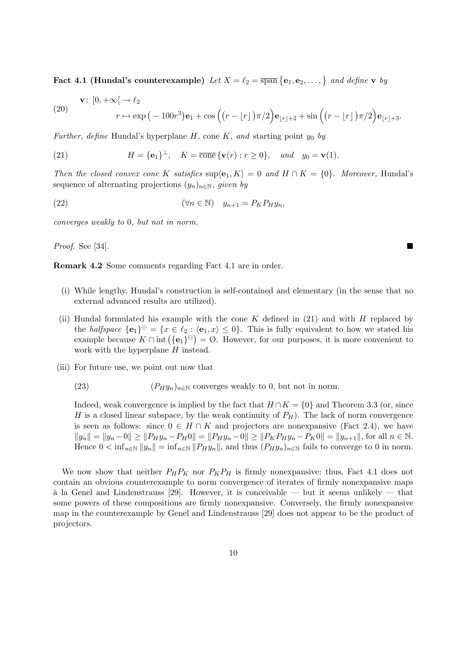Fact 4.1 (Hundal's counterexample) Let  $X = \ell_2 = \overline{\text{span}} \left\{ \mathbf{e}_1, \mathbf{e}_2, \ldots, \right\}$  and define v by

(20) 
$$
\mathbf{v}: [0, +\infty[ \to \ell_2 \quad r \mapsto \exp(-100r^3)\mathbf{e}_1 + \cos\left((r - \lfloor r \rfloor)\pi/2\right)\mathbf{e}_{\lfloor r \rfloor + 2} + \sin\left((r - \lfloor r \rfloor)\pi/2\right)\mathbf{e}_{\lfloor r \rfloor + 3}.
$$

Further, define Hundal's hyperplane  $H$ , cone  $K$ , and starting point  $y_0$  by

(21) 
$$
H = {\mathbf{e}_1}^{\perp}, \quad K = \overline{\text{cone}} \{ \mathbf{v}(r) : r \ge 0 \}, \quad and \quad y_0 = \mathbf{v}(1).
$$

Then the closed convex cone K satisfies  $\sup\{e_1, K\} = 0$  and  $H \cap K = \{0\}$ . Moreover, Hundal's sequence of alternating projections  $(y_n)_{n\in\mathbb{N}}$ , given by

(22) 
$$
(\forall n \in \mathbb{N}) \quad y_{n+1} = P_K P_H y_n,
$$

converges weakly to 0, but not in norm.

*Proof.* See [34].

Remark 4.2 Some comments regarding Fact 4.1 are in order.

- (i) While lengthy, Hundal's construction is self-contained and elementary (in the sense that no external advanced results are utilized).
- (ii) Hundal formulated his example with the cone  $K$  defined in (21) and with  $H$  replaced by the *halfspace*  $\{e_1\}^{\ominus} = \{x \in \ell_2 : \langle e_1, x \rangle \leq 0\}$ . This is fully equivalent to how we stated his the *nayspace*  ${e_1}^{\infty} = {x \in \ell_2 : (e_1, x) \le 0}$ . This is fully equivalent to now we stated ins example because  $K \cap \text{int}({e_1}^{\ominus}) = \emptyset$ . However, for our purposes, it is more convenient to work with the hyperplane H instead.
- (iii) For future use, we point out now that
	- (23)  $(P_H y_n)_{n \in \mathbb{N}}$  converges weakly to 0, but not in norm.

Indeed, weak convergence is implied by the fact that  $H \cap K = \{0\}$  and Theorem 3.3 (or, since H is a closed linear subspace, by the weak continuity of  $P_H$ ). The lack of norm convergence is seen as follows: since  $0 \in H \cap K$  and projectors are nonexpansive (Fact 2.4), we have  $||y_n|| = ||y_n - 0|| \ge ||P_Hy_n - P_H0|| = ||P_Hy_n - 0|| \ge ||P_KP_Hy_n - P_K0|| = ||y_{n+1}||$ , for all  $n \in \mathbb{N}$ . Hence  $0 < \inf_{n \in \mathbb{N}} ||y_n|| = \inf_{n \in \mathbb{N}} ||P_H y_n||$ , and thus  $(P_H y_n)_{n \in \mathbb{N}}$  fails to converge to 0 in norm.

We now show that neither  $P_H P_K$  nor  $P_K P_H$  is firmly nonexpansive; thus, Fact 4.1 does not contain an obvious counterexample to norm convergence of iterates of firmly nonexpansive maps  $\alpha$  la Genel and Lindenstrauss [29]. However, it is conceivable — but it seems unlikely — that some powers of these compositions are firmly nonexpansive. Conversely, the firmly nonexpansive map in the counterexample by Genel and Lindenstrauss [29] does not appear to be the product of projectors.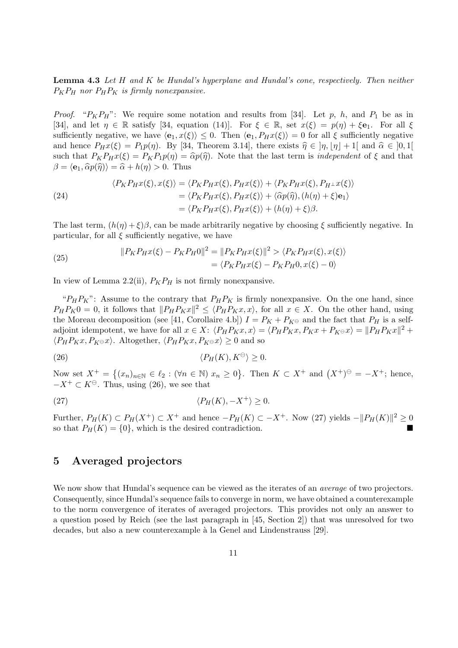**Lemma 4.3** Let H and K be Hundal's hyperplane and Hundal's cone, respectively. Then neither  $P_KP_H$  nor  $P_HP_K$  is firmly nonexpansive.

*Proof.* " $P_K P_H$ ": We require some notation and results from [34]. Let p, h, and  $P_1$  be as in [34], and let  $\eta \in \mathbb{R}$  satisfy [34, equation (14)]. For  $\xi \in \mathbb{R}$ , set  $x(\xi) = p(\eta) + \xi \mathbf{e}_1$ . For all  $\xi$ sufficiently negative, we have  $\langle e_1, x(\xi) \rangle \leq 0$ . Then  $\langle e_1, P_Hx(\xi) \rangle = 0$  for all  $\xi$  sufficiently negative and hence  $P_Hx(\xi) = P_1p(\eta)$ . By [34, Theorem 3.14], there exists  $\hat{\eta} \in [\eta, |\eta| + 1]$  and  $\hat{\alpha} \in [0, 1]$ such that  $P_K P_H x(\xi) = P_K P_1 p(\eta) = \hat{\alpha} p(\hat{\eta})$ . Note that the last term is *independent* of  $\xi$  and that  $\beta = \langle e_1, \widehat{\alpha} p(\widehat{\eta}) \rangle = \widehat{\alpha} + h(\eta) > 0$ . Thus

(24)  
\n
$$
\langle P_K P_H x(\xi), x(\xi) \rangle = \langle P_K P_H x(\xi), P_H x(\xi) \rangle + \langle P_K P_H x(\xi), P_{H^{\perp}} x(\xi) \rangle
$$
\n
$$
= \langle P_K P_H x(\xi), P_H x(\xi) \rangle + \langle \hat{\alpha} p(\hat{\eta}), (h(\eta) + \xi) \mathbf{e}_1 \rangle
$$
\n
$$
= \langle P_K P_H x(\xi), P_H x(\xi) \rangle + (h(\eta) + \xi) \beta.
$$

The last term,  $(h(\eta) + \xi)\beta$ , can be made arbitrarily negative by choosing  $\xi$  sufficiently negative. In particular, for all  $\xi$  sufficiently negative, we have

(25) 
$$
||P_K P_H x(\xi) - P_K P_H 0||^2 = ||P_K P_H x(\xi)||^2 > \langle P_K P_H x(\xi), x(\xi) \rangle
$$

$$
= \langle P_K P_H x(\xi) - P_K P_H 0, x(\xi) - 0 \rangle
$$

In view of Lemma 2.2(ii),  $P_K P_H$  is not firmly nonexpansive.

" $P_H P_K$ ": Assume to the contrary that  $P_H P_K$  is firmly nonexpansive. On the one hand, since  $P_H P_K 0 = 0$ , it follows that  $||P_H P_K x||^2 \le \langle P_H P_K x, x \rangle$ , for all  $x \in X$ . On the other hand, using the Moreau decomposition (see [41, Corollaire 4.b])  $I = P_K + P_{K\Theta}$  and the fact that  $P_H$  is a selfadjoint idempotent, we have for all  $x \in X$ :  $\langle P_H P_K x, x \rangle = \langle P_H P_K x, P_K x + P_{K^{\ominus}} x \rangle = ||P_H P_K x||^2 +$  $\langle P_H P_K x, P_{K^{\ominus}} x \rangle$ . Altogether,  $\langle P_H P_K x, P_{K^{\ominus}} x \rangle \geq 0$  and so

(26) 
$$
\langle P_H(K), K^{\ominus} \rangle \geq 0.
$$

Now set  $X^+=\{$  $(x_n)_{n\in\mathbb{N}} \in \ell_2 : (\forall n \in \mathbb{N}) \ x_n \geq 0$ }. Then  $K \subset X^+$  and  $(X^+)^\oplus = -X^+$ ; hence,  $-X^+ \subset K^\ominus$ . Thus, using (26), we see that

(27) 
$$
\langle P_H(K), -X^+ \rangle \ge 0.
$$

Further,  $P_H(K) \subset P_H(X^+) \subset X^+$  and hence  $-P_H(K) \subset -X^+$ . Now (27) yields  $-\|P_H(K)\|^2 \geq 0$ so that  $P_H(K) = \{0\}$ , which is the desired contradiction.

# 5 Averaged projectors

We now show that Hundal's sequence can be viewed as the iterates of an *average* of two projectors. Consequently, since Hundal's sequence fails to converge in norm, we have obtained a counterexample to the norm convergence of iterates of averaged projectors. This provides not only an answer to a question posed by Reich (see the last paragraph in [45, Section 2]) that was unresolved for two decades, but also a new counterexample à la Genel and Lindenstrauss [29].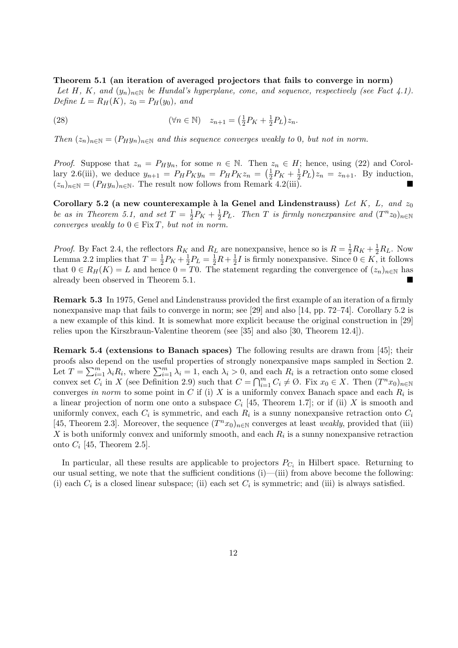Theorem 5.1 (an iteration of averaged projectors that fails to converge in norm) Let H, K, and  $(y_n)_{n\in\mathbb{N}}$  be Hundal's hyperplane, cone, and sequence, respectively (see Fact 4.1). Define  $L = R_H(K)$ ,  $z_0 = P_H(y_0)$ , and

(28) 
$$
(\forall n \in \mathbb{N}) \quad z_{n+1} = (\frac{1}{2}P_K + \frac{1}{2}P_L)z_n.
$$

Then  $(z_n)_{n\in\mathbb{N}} = (P_H y_n)_{n\in\mathbb{N}}$  and this sequence converges weakly to 0, but not in norm.

*Proof.* Suppose that  $z_n = P_H y_n$ , for some  $n \in \mathbb{N}$ . Then  $z_n \in H$ ; hence, using (22) and Corollary 2.6(iii), we deduce  $y_{n+1} = P_H P_K y_n = P_H P_K z_n = \left(\frac{1}{2}\right)$  $\frac{1}{2}P_K + \frac{1}{2}$  $(\frac{1}{2}P_L)z_n = z_{n+1}$ . By induction,  $(z_n)_{n\in\mathbb{N}} = (P_H y_n)_{n\in\mathbb{N}}$ . The result now follows from Remark 4.2(iii).

Corollary 5.2 (a new counterexample à la Genel and Lindenstrauss) Let K, L, and  $z_0$ be as in Theorem 5.1, and set  $T = \frac{1}{2}$  $\frac{1}{2}P_K + \frac{1}{2}$  $\frac{1}{2}P_L$ . Then T is firmly nonexpansive and  $(T^nz_0)_{n\in\mathbb{N}}$ converges weakly to  $0 \in \text{Fix } T$ , but not in norm.

*Proof.* By Fact 2.4, the reflectors  $R_K$  and  $R_L$  are nonexpansive, hence so is  $R = \frac{1}{2}R_K + \frac{1}{2}R_L$ . Now Lemma 2.2 implies that  $T=\frac{1}{2}$  $\frac{1}{2}P_K + \frac{1}{2}$  $\frac{1}{2}P_L = \frac{1}{2}R + \frac{1}{2}$  $\frac{1}{2}I$  is firmly nonexpansive. Since  $0 \in K$ , it follows that  $0 \in R_H(K) = L$  and hence  $0 = T0$ . The statement regarding the convergence of  $(z_n)_{n \in \mathbb{N}}$  has already been observed in Theorem 5.1.

Remark 5.3 In 1975, Genel and Lindenstrauss provided the first example of an iteration of a firmly nonexpansive map that fails to converge in norm; see [29] and also [14, pp. 72–74]. Corollary 5.2 is a new example of this kind. It is somewhat more explicit because the original construction in [29] relies upon the Kirszbraun-Valentine theorem (see [35] and also [30, Theorem 12.4]).

Remark 5.4 (extensions to Banach spaces) The following results are drawn from [45]; their proofs also depend on the useful properties of strongly nonexpansive maps sampled in Section 2. proofs also d<br>Let  $T = \sum_{i=1}^{m}$ depend on the useful properties of strongly honexpansive maps sampled in section 2.<br>  $\lim_{i=1} \lambda_i R_i$ , where  $\sum_{i=1}^m \lambda_i = 1$ , each  $\lambda_i > 0$ , and each  $R_i$  is a retraction onto some closed<br>  $C_{i}$  in  $X_i$  (see Definition 2 convex set  $C_i$  in X (see Definition 2.9) such that  $C = \bigcap_{i=1}^m C_i \neq \emptyset$ . Fix  $x_0 \in X$ . Then  $(T^n x_0)_{n \in \mathbb{N}}$ converges in norm to some point in C if (i) X is a uniformly convex Banach space and each  $R_i$  is a linear projection of norm one onto a subspace  $C_i$  [45, Theorem 1.7]; or if (ii) X is smooth and uniformly convex, each  $C_i$  is symmetric, and each  $R_i$  is a sunny nonexpansive retraction onto  $C_i$ [45, Theorem 2.3]. Moreover, the sequence  $(T^n x_0)_{n\in\mathbb{N}}$  converges at least weakly, provided that (iii) X is both uniformly convex and uniformly smooth, and each  $R_i$  is a sunny nonexpansive retraction onto  $C_i$  [45, Theorem 2.5].

In particular, all these results are applicable to projectors  $P_{C_i}$  in Hilbert space. Returning to our usual setting, we note that the sufficient conditions (i)—(iii) from above become the following: (i) each  $C_i$  is a closed linear subspace; (ii) each set  $C_i$  is symmetric; and (iii) is always satisfied.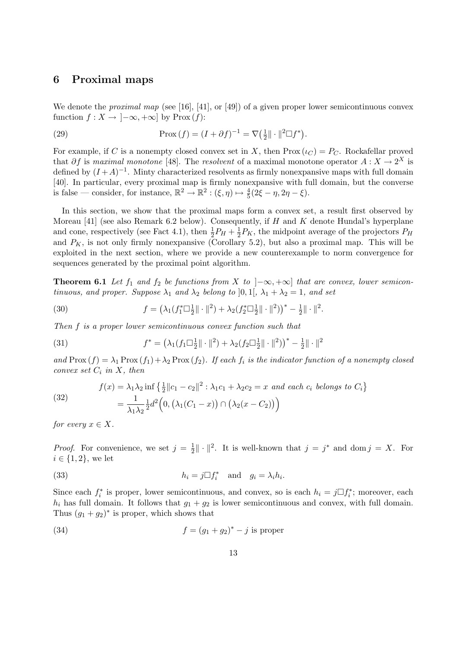# 6 Proximal maps

We denote the *proximal map* (see [16], [41], or [49]) of a given proper lower semicontinuous convex function  $f: X \to [-\infty, +\infty]$  by Prox  $(f)$ :

(29) 
$$
\operatorname{Prox}(f) = (I + \partial f)^{-1} = \nabla \left(\frac{1}{2} \|\cdot\|^2 \Box f^*\right).
$$

For example, if C is a nonempty closed convex set in X, then  $Prox(\iota_C) = P_C$ . Rockafellar proved that  $\partial f$  is maximal monotone [48]. The resolvent of a maximal monotone operator  $A: X \to 2^X$  is defined by  $(I + A)^{-1}$ . Minty characterized resolvents as firmly nonexpansive maps with full domain [40]. In particular, every proximal map is firmly nonexpansive with full domain, but the converse is false — consider, for instance,  $\mathbb{R}^2 \to \mathbb{R}^2 : (\xi, \eta) \mapsto \frac{4}{5}(2\xi - \eta, 2\eta - \xi)$ .

In this section, we show that the proximal maps form a convex set, a result first observed by Moreau  $[41]$  (see also Remark 6.2 below). Consequently, if H and K denote Hundal's hyperplane and cone, respectively (see Fact 4.1), then  $\frac{1}{2}P_H + \frac{1}{2}$  $\frac{1}{2}P_K$ , the midpoint average of the projectors  $P_H$ and  $P_K$ , is not only firmly nonexpansive (Corollary 5.2), but also a proximal map. This will be exploited in the next section, where we provide a new counterexample to norm convergence for sequences generated by the proximal point algorithm.

**Theorem 6.1** Let  $f_1$  and  $f_2$  be functions from X to  $\vert -\infty, +\infty \vert$  that are convex, lower semicontinuous, and proper. Suppose  $\lambda_1$  and  $\lambda_2$  belong to [0, 1[,  $\lambda_1 + \lambda_2 = 1$ , and set

(30) 
$$
f = \left(\lambda_1(f_1^* \Box \frac{1}{2} || \cdot ||^2) + \lambda_2(f_2^* \Box \frac{1}{2} || \cdot ||^2)\right)^* - \frac{1}{2} || \cdot ||^2.
$$

Then f is a proper lower semicontinuous convex function such that

(31) 
$$
f^* = \left(\lambda_1(f_1 \Box \frac{1}{2} \|\cdot\|^2) + \lambda_2(f_2 \Box \frac{1}{2} \|\cdot\|^2)\right)^* - \frac{1}{2} \|\cdot\|^2
$$

and  $\text{Prox}(f) = \lambda_1 \text{Prox}(f_1) + \lambda_2 \text{Prox}(f_2)$ . If each  $f_i$  is the indicator function of a nonempty closed convex set  $C_i$  in  $X$ , then

(32) 
$$
f(x) = \lambda_1 \lambda_2 \inf \left\{ \frac{1}{2} ||c_1 - c_2||^2 : \lambda_1 c_1 + \lambda_2 c_2 = x \text{ and each } c_i \text{ belongs to } C_i \right\}
$$

$$
= \frac{1}{\lambda_1 \lambda_2} \frac{1}{2} d^2 \left( 0, \left( \lambda_1 (C_1 - x) \right) \cap \left( \lambda_2 (x - C_2) \right) \right)
$$

for every  $x \in X$ .

*Proof.* For convenience, we set  $j = \frac{1}{2}$  $\frac{1}{2} \|\cdot\|^2$ . It is well-known that  $j = j^*$  and dom  $j = X$ . For  $i \in \{1, 2\}$ , we let

(33) 
$$
h_i = j \Box f_i^* \quad \text{and} \quad g_i = \lambda_i h_i.
$$

Since each  $f_i^*$  is proper, lower semicontinuous, and convex, so is each  $h_i = j \Box f_i^*$ ; moreover, each  $h_i$  has full domain. It follows that  $g_1 + g_2$  is lower semicontinuous and convex, with full domain. Thus  $(g_1 + g_2)^*$  is proper, which shows that

(34) 
$$
f = (g_1 + g_2)^* - j
$$
 is proper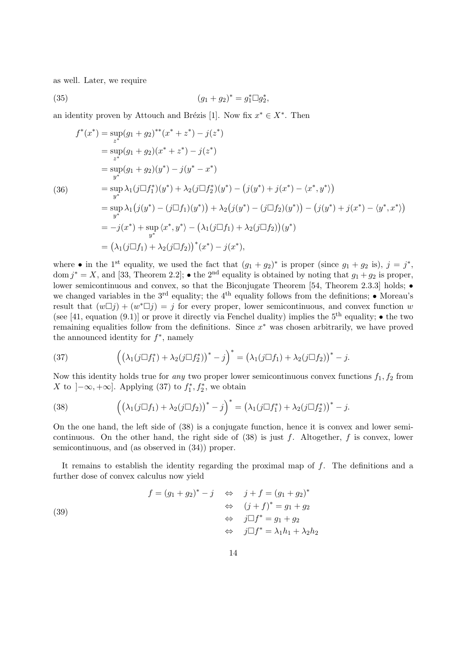as well. Later, we require

(35) 
$$
(g_1 + g_2)^* = g_1^* \Box g_2^*,
$$

an identity proven by Attouch and Brézis [1]. Now fix  $x^* \in X^*$ . Then

$$
f^*(x^*) = \sup_{z^*} (g_1 + g_2)^{**}(x^* + z^*) - j(z^*)
$$
  
\n
$$
= \sup_{z^*} (g_1 + g_2)(x^* + z^*) - j(z^*)
$$
  
\n
$$
= \sup_{y^*} (g_1 + g_2)(y^*) - j(y^* - x^*)
$$
  
\n(36)  
\n
$$
= \sup_{y^*} \lambda_1 (j \Box f_1^*)(y^*) + \lambda_2 (j \Box f_2^*)(y^*) - (j(y^*) + j(x^*) - \langle x^*, y^* \rangle)
$$
  
\n
$$
= \sup_{y^*} \lambda_1 (j(y^*) - (j \Box f_1)(y^*)) + \lambda_2 (j(y^*) - (j \Box f_2)(y^*)) - (j(y^*) + j(x^*) - \langle y^*, x^* \rangle)
$$
  
\n
$$
= -j(x^*) + \sup_{y^*} \langle x^*, y^* \rangle - (\lambda_1 (j \Box f_1) + \lambda_2 (j \Box f_2))(y^*)
$$
  
\n
$$
= (\lambda_1 (j \Box f_1) + \lambda_2 (j \Box f_2))^*(x^*) - j(x^*),
$$

where • in the 1<sup>st</sup> equality, we used the fact that  $(g_1 + g_2)^*$  is proper (since  $g_1 + g_2$  is),  $j = j^*$ , dom  $j^* = X$ , and [33, Theorem 2.2]; • the 2<sup>nd</sup> equality is obtained by noting that  $g_1 + g_2$  is proper, lower semicontinuous and convex, so that the Biconjugate Theorem [54, Theorem 2.3.3] holds; • we changed variables in the  $3^{rd}$  equality; the 4<sup>th</sup> equality follows from the definitions; • Moreau's result that  $(w \Box j) + (w^* \Box j) = j$  for every proper, lower semicontinuous, and convex function w (see [41, equation (9.1)] or prove it directly via Fenchel duality) implies the  $5<sup>th</sup>$  equality;  $\bullet$  the two remaining equalities follow from the definitions. Since  $x^*$  was chosen arbitrarily, we have proved the announced identity for  $f^*$ , namely

(37) 
$$
\left( \left( \lambda_1(j \Box f_1^*) + \lambda_2(j \Box f_2^*) \right)^* - j \right)^* = \left( \lambda_1(j \Box f_1) + \lambda_2(j \Box f_2) \right)^* - j.
$$

Now this identity holds true for any two proper lower semicontinuous convex functions  $f_1, f_2$  from X to  $]-\infty, +\infty]$ . Applying (37) to  $f_1^*, f_2^*$ , we obtain

(38) 
$$
\left( \left( \lambda_1(j \Box f_1) + \lambda_2(j \Box f_2) \right)^* - j \right)^* = \left( \lambda_1(j \Box f_1^*) + \lambda_2(j \Box f_2^*) \right)^* - j.
$$

On the one hand, the left side of (38) is a conjugate function, hence it is convex and lower semicontinuous. On the other hand, the right side of  $(38)$  is just f. Altogether, f is convex, lower semicontinuous, and (as observed in (34)) proper.

It remains to establish the identity regarding the proximal map of f. The definitions and a further dose of convex calculus now yield

$$
f = (g_1 + g_2)^* - j \quad \Leftrightarrow \quad j + f = (g_1 + g_2)^*
$$
  

$$
\Leftrightarrow \quad (j + f)^* = g_1 + g_2
$$
  

$$
\Leftrightarrow \quad j \Box f^* = g_1 + g_2
$$
  

$$
\Leftrightarrow \quad j \Box f^* = \lambda_1 h_1 + \lambda_2 h_2
$$

(39)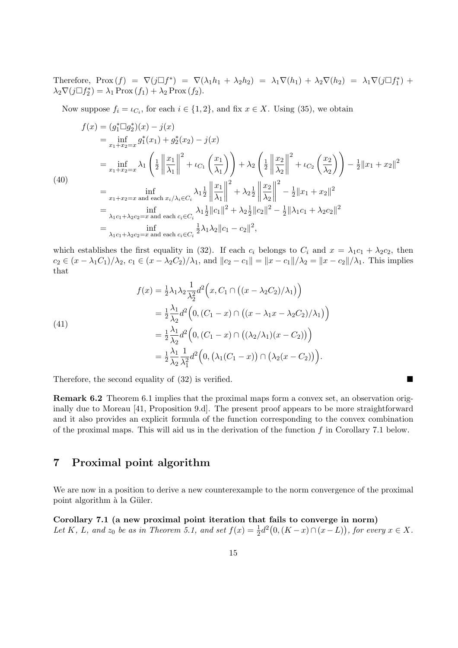Therefore,  $Prox(f) = \nabla(j\Box f^*) = \nabla(\lambda_1h_1 + \lambda_2h_2) = \lambda_1\nabla(h_1) + \lambda_2\nabla(h_2) = \lambda_1\nabla(j\Box f_1^*) +$  $\lambda_2 \nabla (j \Box f_2^*) = \lambda_1 \operatorname{Prox}(f_1) + \lambda_2 \operatorname{Prox}(f_2).$ 

Now suppose  $f_i = \iota_{C_i}$ , for each  $i \in \{1, 2\}$ , and fix  $x \in X$ . Using (35), we obtain

$$
f(x) = (g_1^* \Box g_2^*)(x) - j(x)
$$
  
\n
$$
= \inf_{x_1 + x_2 = x} g_1^*(x_1) + g_2^*(x_2) - j(x)
$$
  
\n
$$
= \inf_{x_1 + x_2 = x} \lambda_1 \left( \frac{1}{2} \left\| \frac{x_1}{\lambda_1} \right\|^2 + \iota_{C_1} \left( \frac{x_1}{\lambda_1} \right) \right) + \lambda_2 \left( \frac{1}{2} \left\| \frac{x_2}{\lambda_2} \right\|^2 + \iota_{C_2} \left( \frac{x_2}{\lambda_2} \right) \right) - \frac{1}{2} \|x_1 + x_2\|^2
$$
  
\n(40)  
\n
$$
= \inf_{x_1 + x_2 = x \text{ and each } x_i/\lambda_i \in C_i} \lambda_1 \frac{1}{2} \left\| \frac{x_1}{\lambda_1} \right\|^2 + \lambda_2 \frac{1}{2} \left\| \frac{x_2}{\lambda_2} \right\|^2 - \frac{1}{2} \|x_1 + x_2\|^2
$$
  
\n
$$
= \inf_{\lambda_1 c_1 + \lambda_2 c_2 = x \text{ and each } c_i \in C_i} \lambda_1 \frac{1}{2} \|c_1\|^2 + \lambda_2 \frac{1}{2} \|c_2\|^2 - \frac{1}{2} \|\lambda_1 c_1 + \lambda_2 c_2\|^2
$$
  
\n
$$
= \inf_{\lambda_1 c_1 + \lambda_2 c_2 = x \text{ and each } c_i \in C_i} \frac{1}{2} \lambda_1 \lambda_2 \|c_1 - c_2\|^2,
$$

which establishes the first equality in (32). If each  $c_i$  belongs to  $C_i$  and  $x = \lambda_1 c_1 + \lambda_2 c_2$ , then  $c_2 \in (x - \lambda_1 C_1)/\lambda_2, c_1 \in (x - \lambda_2 C_2)/\lambda_1$ , and  $||c_2 - c_1|| = ||x - c_1||/\lambda_2 = ||x - c_2||/\lambda_1$ . This implies that

(41)  
\n
$$
f(x) = \frac{1}{2}\lambda_1\lambda_2\frac{1}{\lambda_2^2}d^2(x, C_1 \cap ((x - \lambda_2 C_2)/\lambda_1))
$$
\n
$$
= \frac{1}{2}\frac{\lambda_1}{\lambda_2}d^2(0, (C_1 - x) \cap ((x - \lambda_1 x - \lambda_2 C_2)/\lambda_1))
$$
\n
$$
= \frac{1}{2}\frac{\lambda_1}{\lambda_2}d^2(0, (C_1 - x) \cap ((\lambda_2/\lambda_1)(x - C_2)))
$$
\n
$$
= \frac{1}{2}\frac{\lambda_1}{\lambda_2}\frac{1}{\lambda_1^2}d^2(0, (\lambda_1(C_1 - x)) \cap (\lambda_2(x - C_2))).
$$

Therefore, the second equality of  $(32)$  is verified.

Remark 6.2 Theorem 6.1 implies that the proximal maps form a convex set, an observation originally due to Moreau [41, Proposition 9.d]. The present proof appears to be more straightforward and it also provides an explicit formula of the function corresponding to the convex combination of the proximal maps. This will aid us in the derivation of the function  $f$  in Corollary 7.1 below.

# 7 Proximal point algorithm

We are now in a position to derive a new counterexample to the norm convergence of the proximal point algorithm à la Güler.

Corollary 7.1 (a new proximal point iteration that fails to converge in norm) Let K, L, and  $z_0$  be as in Theorem 5.1, and set  $f(x) = \frac{1}{2}d^2(0, (K - x) \cap (x - L))$ , for every  $x \in X$ .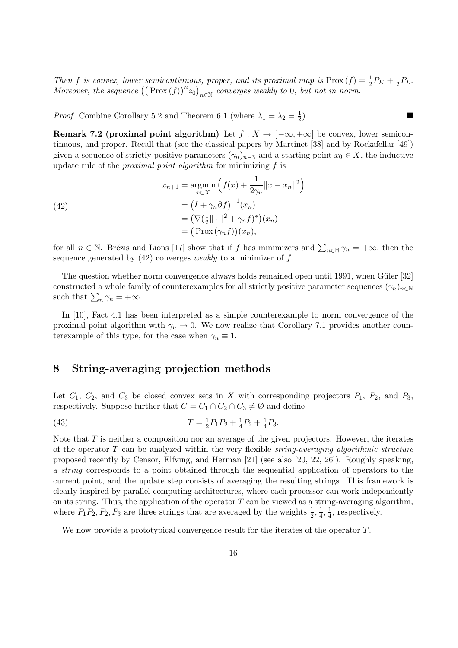Then f is convex, lower semicontinuous, proper, and its proximal map is  $\text{Prox}(f) = \frac{1}{2}P_K + \frac{1}{2}$ *us, proper, and its proximal map is*  $\text{Prox}(f) = \frac{1}{2}P_K + \frac{1}{2}P_L$ . Then *f* is convex, tower semicontinuous, proper, and us proximating is  $F \text{rox}(f)$  = Moreover, the sequence  $((\text{Prox}(f))^n z_0)_{n \in \mathbb{N}}$  converges weakly to 0, but not in norm.

*Proof.* Combine Corollary 5.2 and Theorem 6.1 (where  $\lambda_1 = \lambda_2 = \frac{1}{2}$ )  $\overline{2}$  $\blacksquare$ ).

Remark 7.2 (proximal point algorithm) Let  $f : X \to [-\infty, +\infty]$  be convex, lower semicontinuous, and proper. Recall that (see the classical papers by Martinet [38] and by Rockafellar [49]) given a sequence of strictly positive parameters  $(\gamma_n)_{n\in\mathbb{N}}$  and a starting point  $x_0 \in X$ , the inductive update rule of the *proximal point algorithm* for minimizing  $f$  is

(42)  
\n
$$
x_{n+1} = \operatorname*{argmin}_{x \in X} \left( f(x) + \frac{1}{2\gamma_n} ||x - x_n||^2 \right)
$$
\n
$$
= \left( I + \gamma_n \partial f \right)^{-1} (x_n)
$$
\n
$$
= \left( \nabla \left( \frac{1}{2} || \cdot ||^2 + \gamma_n f \right)^* \right) (x_n)
$$
\n
$$
= \left( \text{Prox} \left( \gamma_n f \right) \right) (x_n),
$$

for all  $n \in \mathbb{N}$ . Brézis and Lions [17] show that if f has minimizers and  $\sum_{n \in \mathbb{N}} \gamma_n = +\infty$ , then the sequence generated by  $(42)$  converges *weakly* to a minimizer of f.

The question whether norm convergence always holds remained open until 1991, when Güler [32] constructed a whole family of counterexamples for all strictly positive parameter sequences  $(\gamma_n)_{n\in\mathbb{N}}$ such that  $\sum_n \gamma_n = +\infty$ .

In [10], Fact 4.1 has been interpreted as a simple counterexample to norm convergence of the proximal point algorithm with  $\gamma_n \to 0$ . We now realize that Corollary 7.1 provides another counterexample of this type, for the case when  $\gamma_n \equiv 1$ .

# 8 String-averaging projection methods

Let  $C_1$ ,  $C_2$ , and  $C_3$  be closed convex sets in X with corresponding projectors  $P_1$ ,  $P_2$ , and  $P_3$ , respectively. Suppose further that  $C = C_1 \cap C_2 \cap C_3 \neq \emptyset$  and define

(43) 
$$
T = \frac{1}{2}P_1P_2 + \frac{1}{4}P_2 + \frac{1}{4}P_3.
$$

Note that  $T$  is neither a composition nor an average of the given projectors. However, the iterates of the operator  $T$  can be analyzed within the very flexible *string-averaging algorithmic structure* proposed recently by Censor, Elfving, and Herman [21] (see also [20, 22, 26]). Roughly speaking, a string corresponds to a point obtained through the sequential application of operators to the current point, and the update step consists of averaging the resulting strings. This framework is clearly inspired by parallel computing architectures, where each processor can work independently on its string. Thus, the application of the operator  $T$  can be viewed as a string-averaging algorithm, where  $P_1P_2, P_2, P_3$  are three strings that are averaged by the weights  $\frac{1}{2}, \frac{1}{4}$  $\frac{1}{4}, \frac{1}{4}$  $\frac{1}{4}$ , respectively.

We now provide a prototypical convergence result for the iterates of the operator T.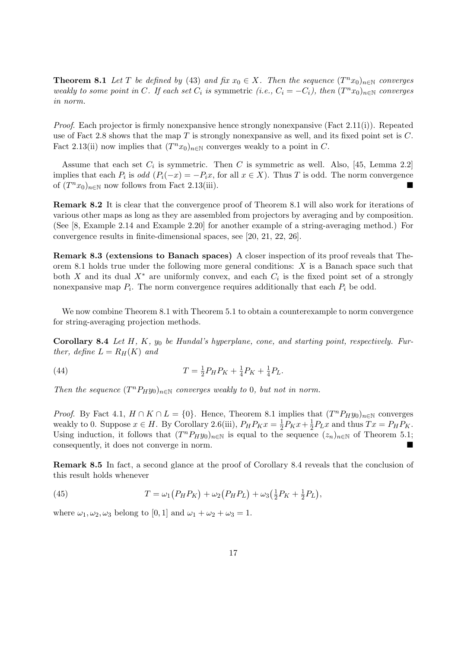**Theorem 8.1** Let T be defined by (43) and fix  $x_0 \in X$ . Then the sequence  $(T^n x_0)_{n \in \mathbb{N}}$  converges weakly to some point in C. If each set  $C_i$  is symmetric (i.e.,  $C_i = -C_i$ ), then  $(T^n x_0)_{n \in \mathbb{N}}$  converges in norm.

*Proof.* Each projector is firmly nonexpansive hence strongly nonexpansive (Fact 2.11(i)). Repeated use of Fact 2.8 shows that the map  $T$  is strongly nonexpansive as well, and its fixed point set is  $C$ . Fact 2.13(ii) now implies that  $(T^n x_0)_{n \in \mathbb{N}}$  converges weakly to a point in C.

Assume that each set  $C_i$  is symmetric. Then C is symmetric as well. Also, [45, Lemma 2.2] implies that each  $P_i$  is odd  $(P_i(-x) = -P_ix)$ , for all  $x \in X$ ). Thus T is odd. The norm convergence of  $(T^n x_0)_{n \in \mathbb{N}}$  now follows from Fact 2.13(iii).

Remark 8.2 It is clear that the convergence proof of Theorem 8.1 will also work for iterations of various other maps as long as they are assembled from projectors by averaging and by composition. (See [8, Example 2.14 and Example 2.20] for another example of a string-averaging method.) For convergence results in finite-dimensional spaces, see [20, 21, 22, 26].

Remark 8.3 (extensions to Banach spaces) A closer inspection of its proof reveals that Theorem 8.1 holds true under the following more general conditions:  $X$  is a Banach space such that both X and its dual  $X^*$  are uniformly convex, and each  $C_i$  is the fixed point set of a strongly nonexpansive map  $P_i$ . The norm convergence requires additionally that each  $P_i$  be odd.

We now combine Theorem 8.1 with Theorem 5.1 to obtain a counterexample to norm convergence for string-averaging projection methods.

Corollary 8.4 Let  $H, K, y_0$  be Hundal's hyperplane, cone, and starting point, respectively. Further, define  $L = R_H(K)$  and

(44) 
$$
T = \frac{1}{2} P_H P_K + \frac{1}{4} P_K + \frac{1}{4} P_L.
$$

Then the sequence  $(T^n P_H y_0)_{n \in \mathbb{N}}$  converges weakly to 0, but not in norm.

*Proof.* By Fact 4.1,  $H \cap K \cap L = \{0\}$ . Hence, Theorem 8.1 implies that  $(T^n P_H y_0)_{n \in \mathbb{N}}$  converges weakly to 0. Suppose  $x \in H$ . By Corollary 2.6(iii),  $P_H P_K x = \frac{1}{2}$  $\frac{1}{2}P_Kx + \frac{1}{2}$  $\frac{1}{2}P_Lx$  and thus  $Tx = P_HP_K$ . Using induction, it follows that  $(T^n P_H y_0)_{n\in\mathbb{N}}$  is equal to the sequence  $(z_n)_{n\in\mathbb{N}}$  of Theorem 5.1; consequently, it does not converge in norm.

Remark 8.5 In fact, a second glance at the proof of Corollary 8.4 reveals that the conclusion of this result holds whenever

(45) 
$$
T = \omega_1 (P_H P_K) + \omega_2 (P_H P_L) + \omega_3 (\frac{1}{2} P_K + \frac{1}{2} P_L),
$$

where  $\omega_1, \omega_2, \omega_3$  belong to [0, 1] and  $\omega_1 + \omega_2 + \omega_3 = 1$ .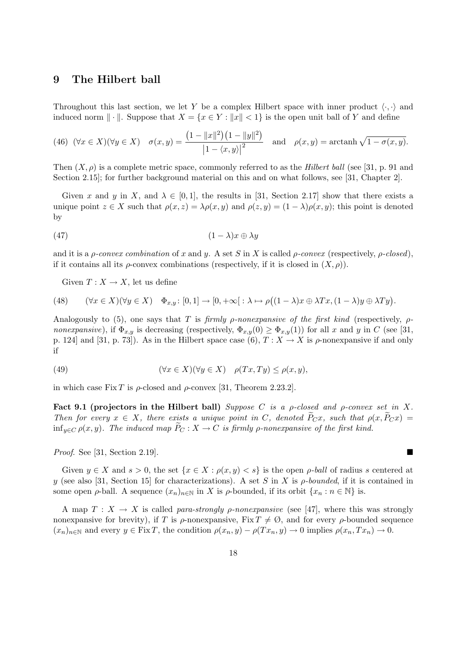## 9 The Hilbert ball

Throughout this last section, we let Y be a complex Hilbert space with inner product  $\langle \cdot, \cdot \rangle$  and induced norm  $\|\cdot\|$ . Suppose that  $X = \{x \in Y : ||x|| < 1\}$  is the open unit ball of Y and define

(46) 
$$
(\forall x \in X)(\forall y \in X) \quad \sigma(x, y) = \frac{\left(1 - \|x\|^2\right)\left(1 - \|y\|^2\right)}{\left|1 - \langle x, y \rangle\right|^2} \quad \text{and} \quad \rho(x, y) = \operatorname{arctanh}\sqrt{1 - \sigma(x, y)}.
$$

Then  $(X, \rho)$  is a complete metric space, commonly referred to as the *Hilbert ball* (see [31, p. 91 and Section 2.15]; for further background material on this and on what follows, see [31, Chapter 2].

Given x and y in X, and  $\lambda \in [0,1]$ , the results in [31, Section 2.17] show that there exists a unique point  $z \in X$  such that  $\rho(x, z) = \lambda \rho(x, y)$  and  $\rho(z, y) = (1 - \lambda) \rho(x, y)$ ; this point is denoted by

$$
(47)\qquad \qquad (1-\lambda)x \oplus \lambda y
$$

and it is a *ρ-convex combination* of x and y. A set S in X is called *ρ-convex* (respectively, *ρ-closed*), if it contains all its  $\rho$ -convex combinations (respectively, if it is closed in  $(X, \rho)$ ).

Given  $T: X \to X$ , let us define

(48) 
$$
(\forall x \in X)(\forall y \in X) \quad \Phi_{x,y}: [0,1] \to [0,+\infty[ \colon \lambda \mapsto \rho((1-\lambda)x \oplus \lambda Tx, (1-\lambda)y \oplus \lambda Ty).
$$

Analogously to (5), one says that T is firmly  $\rho$ -nonexpansive of the first kind (respectively,  $\rho$ nonexpansive), if  $\Phi_{x,y}$  is decreasing (respectively,  $\Phi_{x,y}(0) \ge \Phi_{x,y}(1)$ ) for all x and y in C (see [31, p. 124] and [31, p. 73]). As in the Hilbert space case (6),  $T : X \to X$  is  $\rho$ -nonexpansive if and only if

(49) 
$$
(\forall x \in X)(\forall y \in X) \quad \rho(Tx, Ty) \le \rho(x, y),
$$

in which case Fix T is  $\rho$ -closed and  $\rho$ -convex [31, Theorem 2.23.2].

Fact 9.1 (projectors in the Hilbert ball) Suppose C is a  $\rho$ -closed and  $\rho$ -convex set in X. Then for every  $x \in X$ , there exists a unique point in C, denoted  $\widetilde{P}_C x$ , such that  $\rho(x, \widetilde{P}_C x) =$ inf<sub>y∈C</sub>  $\rho(x, y)$ . The induced map  $P_C : X \to C$  is firmly  $\rho$ -nonexpansive of the first kind.

 $Proof.$  See [31, Section 2.19].

Given  $y \in X$  and  $s > 0$ , the set  $\{x \in X : \rho(x, y) < s\}$  is the open  $\rho$ -ball of radius s centered at y (see also [31, Section 15] for characterizations). A set S in X is  $\rho$ -bounded, if it is contained in some open  $\rho$ -ball. A sequence  $(x_n)_{n\in\mathbb{N}}$  in X is  $\rho$ -bounded, if its orbit  $\{x_n : n \in \mathbb{N}\}\$ is.

A map  $T : X \to X$  is called para-strongly p-nonexpansive (see [47], where this was strongly nonexpansive for brevity), if T is  $\rho$ -nonexpansive, Fix  $T \neq \emptyset$ , and for every  $\rho$ -bounded sequence  $(x_n)_{n\in\mathbb{N}}$  and every  $y \in \text{Fix } T$ , the condition  $\rho(x_n, y) - \rho(Tx_n, y) \to 0$  implies  $\rho(x_n, Tx_n) \to 0$ .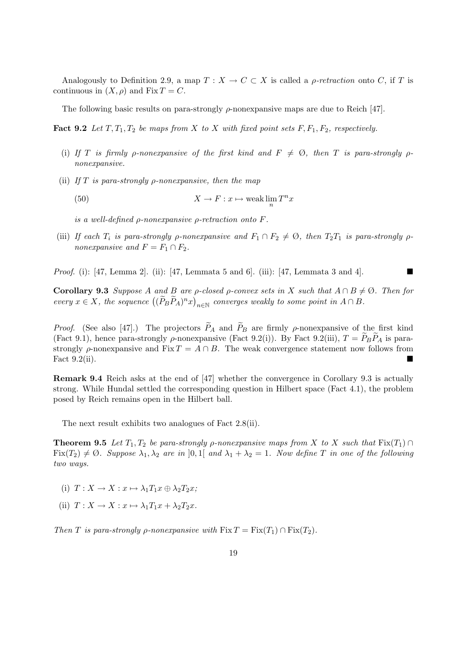Analogously to Definition 2.9, a map  $T : X \to C \subset X$  is called a *ρ-retraction* onto C, if T is continuous in  $(X, \rho)$  and Fix  $T = C$ .

The following basic results on para-strongly  $\rho$ -nonexpansive maps are due to Reich [47].

**Fact 9.2** Let  $T, T_1, T_2$  be maps from X to X with fixed point sets F,  $F_1, F_2$ , respectively.

- (i) If T is firmly *ρ*-nonexpansive of the first kind and  $F \neq \emptyset$ , then T is para-strongly *ρ*nonexpansive.
- (ii) If T is para-strongly  $\rho$ -nonexpansive, then the map

(50)  $X \to F : x \mapsto \text{weak } \lim_{n} T^{n}x$ 

is a well-defined  $\rho$ -nonexpansive  $\rho$ -retraction onto  $F$ .

(iii) If each  $T_i$  is para-strongly  $\rho$ -nonexpansive and  $F_1 \cap F_2 \neq \emptyset$ , then  $T_2T_1$  is para-strongly  $\rho$ nonexpansive and  $F = F_1 \cap F_2$ .

*Proof.* (i): [47, Lemma 2]. (ii): [47, Lemmata 5 and 6]. (iii): [47, Lemmata 3 and 4].

**Corollary 9.3** Suppose A and B are *ρ*-closed *ρ*-convex sets in X such that  $A \cap B \neq \emptyset$ . Then for Coronary 9.5 Suppose A and B are p-closed p-convex sets in A such that  $A \cap B$ <br>every  $x \in X$ , the sequence  $((\widetilde{P}_B \widetilde{P}_A)^n x)_{n \in \mathbb{N}}$  converges weakly to some point in  $A \cap B$ .

*Proof.* (See also [47].) The projectors  $\widetilde{P}_A$  and  $\widetilde{P}_B$  are firmly  $\rho$ -nonexpansive of the first kind (Fact 9.1), hence para-strongly  $\rho$ -nonexpansive (Fact 9.2(i)). By Fact 9.2(iii),  $T = P_B P_A$  is parastrongly  $\rho$ -nonexpansive and Fix  $T = A \cap B$ . The weak convergence statement now follows from Fact  $9.2$ (ii).

Remark 9.4 Reich asks at the end of [47] whether the convergence in Corollary 9.3 is actually strong. While Hundal settled the corresponding question in Hilbert space (Fact 4.1), the problem posed by Reich remains open in the Hilbert ball.

The next result exhibits two analogues of Fact 2.8(ii).

**Theorem 9.5** Let  $T_1, T_2$  be para-strongly *ρ*-nonexpansive maps from X to X such that  $\text{Fix}(T_1) \cap$  $Fix(T_2) \neq \emptyset$ . Suppose  $\lambda_1, \lambda_2$  are in [0,1] and  $\lambda_1 + \lambda_2 = 1$ . Now define T in one of the following two ways.

- (i)  $T: X \to X : x \mapsto \lambda_1 T_1 x \oplus \lambda_2 T_2 x;$
- (ii)  $T: X \to X : x \mapsto \lambda_1 T_1 x + \lambda_2 T_2 x$ .

Then T is para-strongly  $\rho$ -nonexpansive with  $Fix(T = Fix(T_1) \cap Fix(T_2)$ .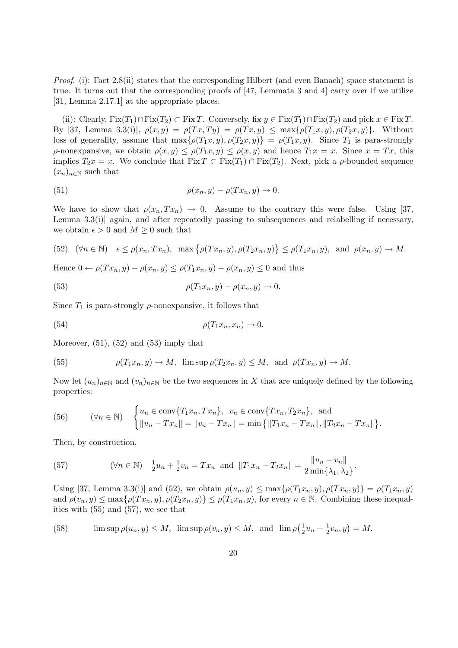Proof. (i): Fact 2.8(ii) states that the corresponding Hilbert (and even Banach) space statement is true. It turns out that the corresponding proofs of [47, Lemmata 3 and 4] carry over if we utilize [31, Lemma 2.17.1] at the appropriate places.

(ii): Clearly,  $Fix(T_1) \cap Fix(T_2) \subset Fix T$ . Conversely,  $fix y \in Fix(T_1) \cap Fix(T_2)$  and pick  $x \in Fix T$ . By [37, Lemma 3.3(i)],  $\rho(x, y) = \rho(Tx, Ty) = \rho(Tx, y) \le \max{\rho(T_1x, y), \rho(T_2x, y)}$ . Without loss of generality, assume that  $\max\{\rho(T_1x, y), \rho(T_2x, y)\} = \rho(T_1x, y)$ . Since  $T_1$  is para-strongly  $\rho$ -nonexpansive, we obtain  $\rho(x, y) \leq \rho(T_1 x, y) \leq \rho(x, y)$  and hence  $T_1 x = x$ . Since  $x = Tx$ , this implies  $T_2x = x$ . We conclude that  $Fix T \subset Fix(T_1) \cap Fix(T_2)$ . Next, pick a  $\rho$ -bounded sequence  $(x_n)_{n\in\mathbb{N}}$  such that

(51) 
$$
\rho(x_n, y) - \rho(Tx_n, y) \to 0.
$$

We have to show that  $\rho(x_n, Tx_n) \to 0$ . Assume to the contrary this were false. Using [37, Lemma 3.3(i)] again, and after repeatedly passing to subsequences and relabelling if necessary, we obtain  $\epsilon > 0$  and  $M \geq 0$  such that

(52) 
$$
(\forall n \in \mathbb{N}) \quad \epsilon \le \rho(x_n, Tx_n), \quad \max\{\rho(Tx_n, y), \rho(T_2x_n, y)\} \le \rho(T_1x_n, y), \quad \text{and} \quad \rho(x_n, y) \to M.
$$

Hence  $0 \leftarrow \rho(T_{x_n}, y) - \rho(x_n, y) \leq \rho(T_1 x_n, y) - \rho(x_n, y) \leq 0$  and thus

(53) 
$$
\rho(T_1x_n, y) - \rho(x_n, y) \to 0.
$$

Since  $T_1$  is para-strongly  $\rho$ -nonexpansive, it follows that

(54) 
$$
\rho(T_1 x_n, x_n) \to 0.
$$

Moreover,  $(51)$ ,  $(52)$  and  $(53)$  imply that

(55) 
$$
\rho(T_1x_n, y) \to M, \ \limsup \rho(T_2x_n, y) \leq M, \ \text{and} \ \rho(Tx_n, y) \to M.
$$

Now let  $(u_n)_{n\in\mathbb{N}}$  and  $(v_n)_{n\in\mathbb{N}}$  be the two sequences in X that are uniquely defined by the following properties:

(56) 
$$
(\forall n \in \mathbb{N}) \quad \begin{cases} u_n \in \text{conv}\{T_1x_n, Tx_n\}, & v_n \in \text{conv}\{Tx_n, T_2x_n\}, \text{ and} \\ ||u_n - Tx_n|| = ||v_n - Tx_n|| = \min\{||T_1x_n - Tx_n||, ||T_2x_n - Tx_n||\}.\end{cases}
$$

Then, by construction,

(57) 
$$
(\forall n \in \mathbb{N}) \quad \frac{1}{2}u_n + \frac{1}{2}v_n = Tx_n \text{ and } ||T_1x_n - T_2x_n|| = \frac{||u_n - v_n||}{2 \min{\{\lambda_1, \lambda_2\}}}.
$$

Using [37, Lemma 3.3(i)] and (52), we obtain  $\rho(u_n, y) \leq \max\{\rho(T_1x_n, y), \rho(Tx_n, y)\} = \rho(T_1x_n, y)$ and  $\rho(v_n, y) \leq \max\{\rho(Tx_n, y), \rho(T_2x_n, y)\} \leq \rho(T_1x_n, y)$ , for every  $n \in \mathbb{N}$ . Combining these inequalities with (55) and (57), we see that

(58) 
$$
\limsup \rho(u_n, y) \le M, \ \limsup \rho(v_n, y) \le M, \text{ and } \lim \rho\left(\frac{1}{2}u_n + \frac{1}{2}v_n, y\right) = M.
$$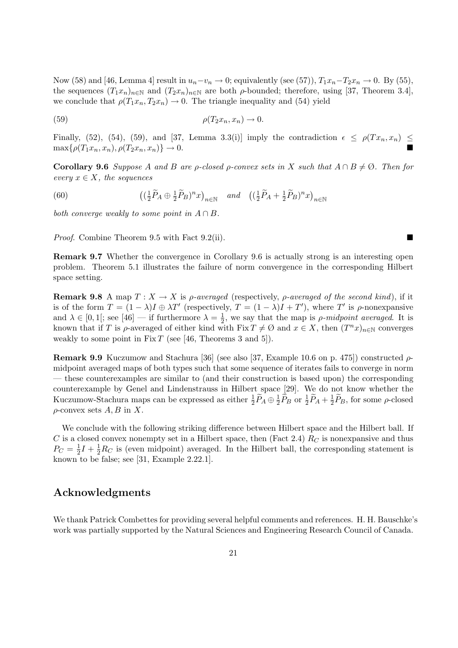Now (58) and [46, Lemma 4] result in  $u_n-v_n \to 0$ ; equivalently (see (57)),  $T_1x_n-T_2x_n \to 0$ . By (55), the sequences  $(T_1x_n)_{n\in\mathbb{N}}$  and  $(T_2x_n)_{n\in\mathbb{N}}$  are both  $\rho$ -bounded; therefore, using [37, Theorem 3.4], we conclude that  $\rho(T_1x_n, T_2x_n) \to 0$ . The triangle inequality and (54) yield

$$
\rho(T_2 x_n, x_n) \to 0.
$$

Finally, (52), (54), (59), and [37, Lemma 3.3(i)] imply the contradiction  $\epsilon \le \rho(Tx_n, x_n) \le$  $\max\{\rho(T_1x_n, x_n), \rho(T_2x_n, x_n)\}\to 0.$ 

**Corollary 9.6** Suppose A and B are p-closed p-convex sets in X such that  $A \cap B \neq \emptyset$ . Then for every  $x \in X$ , the sequences

(60) 
$$
\left( (\frac{1}{2}\widetilde{P}_A \oplus \frac{1}{2}\widetilde{P}_B)^n x \right)_{n \in \mathbb{N}} \quad \text{and} \quad \left( (\frac{1}{2}\widetilde{P}_A + \frac{1}{2}\widetilde{P}_B)^n x \right)_{n \in \mathbb{N}}
$$

both converge weakly to some point in  $A \cap B$ .

*Proof.* Combine Theorem 9.5 with Fact 9.2(ii).

Remark 9.7 Whether the convergence in Corollary 9.6 is actually strong is an interesting open problem. Theorem 5.1 illustrates the failure of norm convergence in the corresponding Hilbert space setting.

**Remark 9.8** A map  $T : X \to X$  is *ρ*-averaged (respectively, *ρ*-averaged of the second kind), if it is of the form  $T = (1 - \lambda)I \oplus \lambda T'$  (respectively,  $T = (1 - \lambda)I + T'$ ), where T' is  $\rho$ -nonexpansive and  $\lambda \in [0,1]$ ; see [46] — if furthermore  $\lambda = \frac{1}{2}$  $\frac{1}{2}$ , we say that the map is *ρ*-midpoint averaged. It is known that if T is  $\rho$ -averaged of either kind with Fix  $T \neq \emptyset$  and  $x \in X$ , then  $(T^n x)_{n \in \mathbb{N}}$  converges weakly to some point in Fix T (see [46, Theorems 3 and 5]).

Remark 9.9 Kuczumow and Stachura [36] (see also [37, Example 10.6 on p. 475]) constructed  $\rho$ midpoint averaged maps of both types such that some sequence of iterates fails to converge in norm — these counterexamples are similar to (and their construction is based upon) the corresponding counterexample by Genel and Lindenstrauss in Hilbert space [29]. We do not know whether the Kuczumow-Stachura maps can be expressed as either  $\frac{1}{2}\widetilde{P}_A\oplus\frac{1}{2}$  $\frac{1}{2}\tilde{P}_B$  or  $\frac{1}{2}\tilde{P}_A + \frac{1}{2}$  $\frac{1}{2}\widetilde{P}_B$ , for some  $\rho$ -closed  $\rho$ -convex sets A, B in X.

We conclude with the following striking difference between Hilbert space and the Hilbert ball. If C is a closed convex nonempty set in a Hilbert space, then (Fact 2.4)  $R_C$  is nonexpansive and thus  $P_C = \frac{1}{2}$  $\frac{1}{2}I + \frac{1}{2}R_C$  is (even midpoint) averaged. In the Hilbert ball, the corresponding statement is known to be false; see [31, Example 2.22.1].

# Acknowledgments

We thank Patrick Combettes for providing several helpful comments and references. H. H. Bauschke's work was partially supported by the Natural Sciences and Engineering Research Council of Canada.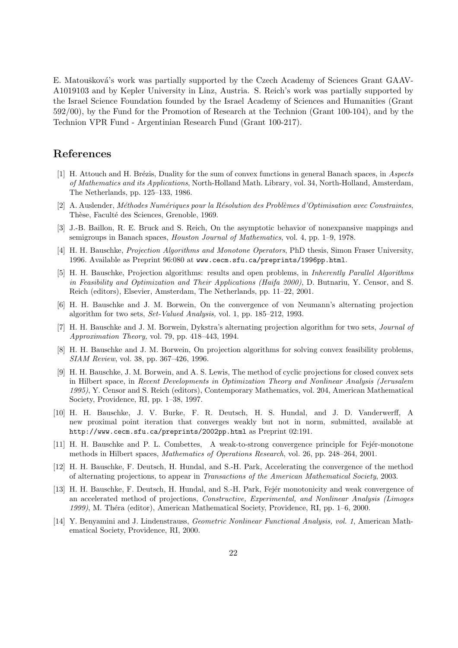E. Matoušková's work was partially supported by the Czech Academy of Sciences Grant GAAV-A1019103 and by Kepler University in Linz, Austria. S. Reich's work was partially supported by the Israel Science Foundation founded by the Israel Academy of Sciences and Humanities (Grant 592/00), by the Fund for the Promotion of Research at the Technion (Grant 100-104), and by the Technion VPR Fund - Argentinian Research Fund (Grant 100-217).

# References

- [1] H. Attouch and H. Brézis, Duality for the sum of convex functions in general Banach spaces, in Aspects of Mathematics and its Applications, North-Holland Math. Library, vol. 34, North-Holland, Amsterdam, The Netherlands, pp. 125–133, 1986.
- [2] A. Auslender, Méthodes Numériques pour la Résolution des Problèmes d'Optimisation avec Constraintes, Thèse, Faculté des Sciences, Grenoble, 1969.
- [3] J.-B. Baillon, R. E. Bruck and S. Reich, On the asymptotic behavior of nonexpansive mappings and semigroups in Banach spaces, Houston Journal of Mathematics, vol. 4, pp. 1–9, 1978.
- [4] H. H. Bauschke, Projection Algorithms and Monotone Operators, PhD thesis, Simon Fraser University, 1996. Available as Preprint 96:080 at www.cecm.sfu.ca/preprints/1996pp.html.
- [5] H. H. Bauschke, Projection algorithms: results and open problems, in Inherently Parallel Algorithms in Feasibility and Optimization and Their Applications (Haifa 2000), D. Butnariu, Y. Censor, and S. Reich (editors), Elsevier, Amsterdam, The Netherlands, pp. 11–22, 2001.
- [6] H. H. Bauschke and J. M. Borwein, On the convergence of von Neumann's alternating projection algorithm for two sets, Set-Valued Analysis, vol. 1, pp. 185–212, 1993.
- [7] H. H. Bauschke and J. M. Borwein, Dykstra's alternating projection algorithm for two sets, Journal of Approximation Theory, vol. 79, pp. 418–443, 1994.
- [8] H. H. Bauschke and J. M. Borwein, On projection algorithms for solving convex feasibility problems, SIAM Review, vol. 38, pp. 367–426, 1996.
- [9] H. H. Bauschke, J. M. Borwein, and A. S. Lewis, The method of cyclic projections for closed convex sets in Hilbert space, in Recent Developments in Optimization Theory and Nonlinear Analysis (Jerusalem 1995), Y. Censor and S. Reich (editors), Contemporary Mathematics, vol. 204, American Mathematical Society, Providence, RI, pp. 1–38, 1997.
- [10] H. H. Bauschke, J. V. Burke, F. R. Deutsch, H. S. Hundal, and J. D. Vanderwerff, A new proximal point iteration that converges weakly but not in norm, submitted, available at http://www.cecm.sfu.ca/preprints/2002pp.html as Preprint 02:191.
- [11] H. H. Bauschke and P. L. Combettes, A weak-to-strong convergence principle for Fejér-monotone methods in Hilbert spaces, Mathematics of Operations Research, vol. 26, pp. 248–264, 2001.
- [12] H. H. Bauschke, F. Deutsch, H. Hundal, and S.-H. Park, Accelerating the convergence of the method of alternating projections, to appear in Transactions of the American Mathematical Society, 2003.
- [13] H. H. Bauschke, F. Deutsch, H. Hundal, and S.-H. Park, Fejér monotonicity and weak convergence of an accelerated method of projections, Constructive, Experimental, and Nonlinear Analysis (Limoges 1999), M. Théra (editor), American Mathematical Society, Providence, RI, pp. 1–6, 2000.
- [14] Y. Benyamini and J. Lindenstrauss, Geometric Nonlinear Functional Analysis, vol. 1, American Mathematical Society, Providence, RI, 2000.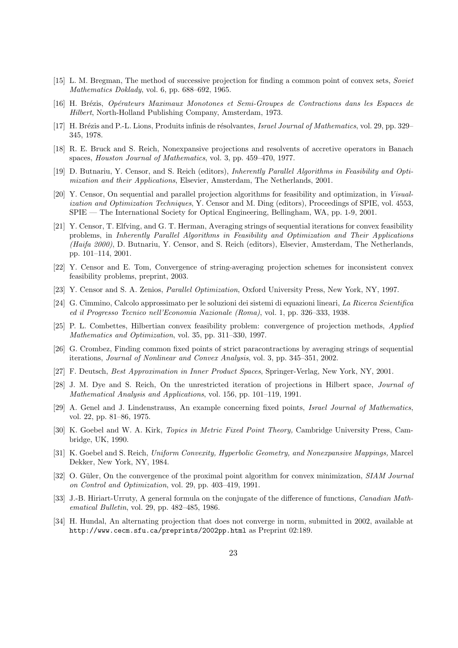- [15] L. M. Bregman, The method of successive projection for finding a common point of convex sets, Soviet Mathematics Doklady, vol. 6, pp. 688–692, 1965.
- [16] H. Br´ezis, Op´erateurs Maximaux Monotones et Semi-Groupes de Contractions dans les Espaces de Hilbert, North-Holland Publishing Company, Amsterdam, 1973.
- [17] H. Brézis and P.-L. Lions, Produits infinis de résolvantes, Israel Journal of Mathematics, vol. 29, pp. 329– 345, 1978.
- [18] R. E. Bruck and S. Reich, Nonexpansive projections and resolvents of accretive operators in Banach spaces, Houston Journal of Mathematics, vol. 3, pp. 459–470, 1977.
- [19] D. Butnariu, Y. Censor, and S. Reich (editors), Inherently Parallel Algorithms in Feasibility and Optimization and their Applications, Elsevier, Amsterdam, The Netherlands, 2001.
- [20] Y. Censor, On sequential and parallel projection algorithms for feasibility and optimization, in Visualization and Optimization Techniques, Y. Censor and M. Ding (editors), Proceedings of SPIE, vol. 4553, SPIE — The International Society for Optical Engineering, Bellingham, WA, pp. 1-9, 2001.
- [21] Y. Censor, T. Elfving, and G. T. Herman, Averaging strings of sequential iterations for convex feasibility problems, in Inherently Parallel Algorithms in Feasibility and Optimization and Their Applications (Haifa 2000), D. Butnariu, Y. Censor, and S. Reich (editors), Elsevier, Amsterdam, The Netherlands, pp. 101–114, 2001.
- [22] Y. Censor and E. Tom, Convergence of string-averaging projection schemes for inconsistent convex feasibility problems, preprint, 2003.
- [23] Y. Censor and S. A. Zenios, Parallel Optimization, Oxford University Press, New York, NY, 1997.
- [24] G. Cimmino, Calcolo approssimato per le soluzioni dei sistemi di equazioni lineari, La Ricerca Scientifica ed il Progresso Tecnico nell'Economia Nazionale (Roma), vol. 1, pp. 326–333, 1938.
- [25] P. L. Combettes, Hilbertian convex feasibility problem: convergence of projection methods, Applied Mathematics and Optimization, vol. 35, pp. 311–330, 1997.
- [26] G. Crombez, Finding common fixed points of strict paracontractions by averaging strings of sequential iterations, Journal of Nonlinear and Convex Analysis, vol. 3, pp. 345–351, 2002.
- [27] F. Deutsch, Best Approximation in Inner Product Spaces, Springer-Verlag, New York, NY, 2001.
- [28] J. M. Dye and S. Reich, On the unrestricted iteration of projections in Hilbert space, Journal of Mathematical Analysis and Applications, vol. 156, pp. 101–119, 1991.
- [29] A. Genel and J. Lindenstrauss, An example concerning fixed points, Israel Journal of Mathematics, vol. 22, pp. 81–86, 1975.
- [30] K. Goebel and W. A. Kirk, Topics in Metric Fixed Point Theory, Cambridge University Press, Cambridge, UK, 1990.
- [31] K. Goebel and S. Reich, Uniform Convexity, Hyperbolic Geometry, and Nonexpansive Mappings, Marcel Dekker, New York, NY, 1984.
- [32] O. Güler, On the convergence of the proximal point algorithm for convex minimization, SIAM Journal on Control and Optimization, vol. 29, pp. 403–419, 1991.
- [33] J.-B. Hiriart-Urruty, A general formula on the conjugate of the difference of functions, Canadian Mathematical Bulletin, vol. 29, pp. 482–485, 1986.
- [34] H. Hundal, An alternating projection that does not converge in norm, submitted in 2002, available at http://www.cecm.sfu.ca/preprints/2002pp.html as Preprint 02:189.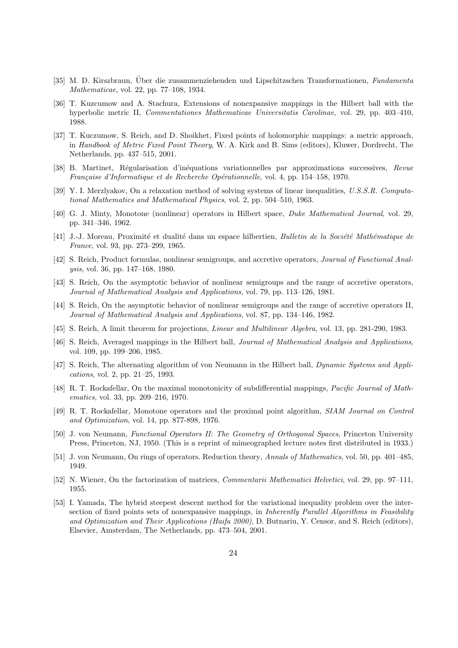- [35] M. D. Kirszbraun, Uber die zusammenziehenden und Lipschitzschen Transformationen, Fundamenta Mathematicae, vol. 22, pp. 77–108, 1934.
- [36] T. Kuzcumow and A. Stachura, Extensions of nonexpansive mappings in the Hilbert ball with the hyperbolic metric II, Commentationes Mathematicae Universitatis Carolinae, vol. 29, pp. 403–410, 1988.
- [37] T. Kuczumow, S. Reich, and D. Shoikhet, Fixed points of holomorphic mappings: a metric approach, in Handbook of Metric Fixed Point Theory, W. A. Kirk and B. Sims (editors), Kluwer, Dordrecht, The Netherlands, pp. 437–515, 2001.
- [38] B. Martinet, Régularisation d'inéquations variationnelles par approximations successives, Revue Française d'Informatique et de Recherche Opérationnelle, vol. 4, pp. 154–158, 1970.
- [39] Y. I. Merzlyakov, On a relaxation method of solving systems of linear inequalities, U.S.S.R. Computational Mathematics and Mathematical Physics, vol. 2, pp. 504–510, 1963.
- [40] G. J. Minty, Monotone (nonlinear) operators in Hilbert space, Duke Mathematical Journal, vol. 29, pp. 341–346, 1962.
- [41] J.-J. Moreau, Proximité et dualité dans un espace hilbertien, Bulletin de la Société Mathématique de France, vol. 93, pp. 273–299, 1965.
- [42] S. Reich, Product formulas, nonlinear semigroups, and accretive operators, Journal of Functional Analysis, vol. 36, pp. 147–168, 1980.
- [43] S. Reich, On the asymptotic behavior of nonlinear semigroups and the range of accretive operators, Journal of Mathematical Analysis and Applications, vol. 79, pp. 113–126, 1981.
- [44] S. Reich, On the asymptotic behavior of nonlinear semigroups and the range of accretive operators II, Journal of Mathematical Analysis and Applications, vol. 87, pp. 134–146, 1982.
- [45] S. Reich, A limit theorem for projections, Linear and Multilinear Algebra, vol. 13, pp. 281-290, 1983.
- [46] S. Reich, Averaged mappings in the Hilbert ball, Journal of Mathematical Analysis and Applications, vol. 109, pp. 199–206, 1985.
- [47] S. Reich, The alternating algorithm of von Neumann in the Hilbert ball, Dynamic Systems and Applications, vol. 2, pp. 21–25, 1993.
- [48] R. T. Rockafellar, On the maximal monotonicity of subdifferential mappings, Pacific Journal of Mathematics, vol. 33, pp. 209–216, 1970.
- [49] R. T. Rockafellar, Monotone operators and the proximal point algorithm, SIAM Journal on Control and Optimization, vol. 14, pp. 877-898, 1976.
- [50] J. von Neumann, Functional Operators II: The Geometry of Orthogonal Spaces, Princeton University Press, Princeton, NJ, 1950. (This is a reprint of mimeographed lecture notes first distributed in 1933.)
- [51] J. von Neumann, On rings of operators. Reduction theory, Annals of Mathematics, vol. 50, pp. 401–485, 1949.
- [52] N. Wiener, On the factorization of matrices, Commentarii Mathematici Helvetici, vol. 29, pp. 97–111, 1955.
- [53] I. Yamada, The hybrid steepest descent method for the variational inequality problem over the intersection of fixed points sets of nonexpansive mappings, in *Inherently Parallel Algorithms in Feasibility* and Optimization and Their Applications (Haifa 2000), D. Butnariu, Y. Censor, and S. Reich (editors), Elsevier, Amsterdam, The Netherlands, pp. 473–504, 2001.